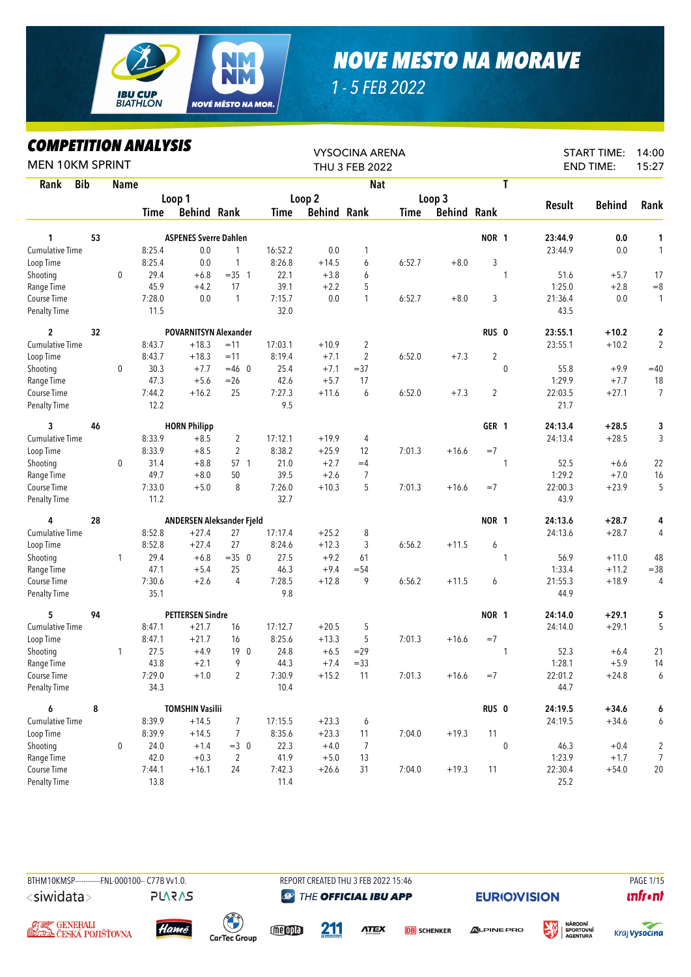

## *NOVE MESTO NA MORAVE*

*1 - 5 FEB 2022*

## *COMPETITION ANALYSIS*

| LUMPEIIIIUN ANALIƏIƏ<br><b>MEN 10KM SPRINT</b> |    |              |        |                              |                |         |                    | <b>VYSOCINA ARENA</b><br>THU 3 FEB 2022 |        |                    |                  |              |         | <b>START TIME:</b><br><b>END TIME:</b> | 14:00<br>15:27 |
|------------------------------------------------|----|--------------|--------|------------------------------|----------------|---------|--------------------|-----------------------------------------|--------|--------------------|------------------|--------------|---------|----------------------------------------|----------------|
| <b>Bib</b><br>Rank                             |    | Name         |        |                              |                |         |                    | <b>Nat</b>                              |        |                    |                  | T            |         |                                        |                |
|                                                |    |              |        | Loop 1                       |                |         | Loop <sub>2</sub>  |                                         |        | Loop 3             |                  |              |         |                                        |                |
|                                                |    |              | Time   | <b>Behind Rank</b>           |                | Time    | <b>Behind Rank</b> |                                         | Time   | <b>Behind Rank</b> |                  |              | Result  | <b>Behind</b>                          | Rank           |
| 1                                              | 53 |              |        | <b>ASPENES Sverre Dahlen</b> |                |         |                    |                                         |        |                    | NOR 1            |              | 23:44.9 | 0.0                                    | 1              |
| <b>Cumulative Time</b>                         |    |              | 8:25.4 | 0.0                          | 1              | 16:52.2 | 0.0                | 1                                       |        |                    |                  |              | 23:44.9 | 0.0                                    | $\mathbf{1}$   |
| Loop Time                                      |    |              | 8:25.4 | 0.0                          | 1              | 8:26.8  | $+14.5$            | 6                                       | 6:52.7 | $+8.0$             | 3                |              |         |                                        |                |
| Shooting                                       |    | 0            | 29.4   | $+6.8$                       | $=35$ 1        | 22.1    | $+3.8$             | 6                                       |        |                    |                  | 1            | 51.6    | $+5.7$                                 | 17             |
| Range Time                                     |    |              | 45.9   | $+4.2$                       | 17             | 39.1    | $+2.2$             | 5                                       |        |                    |                  |              | 1:25.0  | $+2.8$                                 | $= 8$          |
| Course Time                                    |    |              | 7:28.0 | 0.0                          | $\mathbf{1}$   | 7:15.7  | 0.0                | $\mathbf{1}$                            | 6:52.7 | $+8.0$             | 3                |              | 21:36.4 | 0.0                                    | $\mathbf{1}$   |
| <b>Penalty Time</b>                            |    |              | 11.5   |                              |                | 32.0    |                    |                                         |        |                    |                  |              | 43.5    |                                        |                |
| $\overline{c}$                                 | 32 |              |        | <b>POVARNITSYN Alexander</b> |                |         |                    |                                         |        |                    | RUS <sub>0</sub> |              | 23:55.1 | $+10.2$                                | $\mathbf 2$    |
| Cumulative Time                                |    |              | 8:43.7 | $+18.3$                      | $=11$          | 17:03.1 | $+10.9$            | 2                                       |        |                    |                  |              | 23:55.1 | $+10.2$                                | $\overline{2}$ |
| Loop Time                                      |    |              | 8:43.7 | $+18.3$                      | $=11$          | 8:19.4  | $+7.1$             | 2                                       | 6:52.0 | $+7.3$             | $\overline{2}$   |              |         |                                        |                |
| Shooting                                       |    | 0            | 30.3   | $+7.7$                       | $=46$ 0        | 25.4    | $+7.1$             | $= 37$                                  |        |                    |                  | 0            | 55.8    | $+9.9$                                 | $=40$          |
| Range Time                                     |    |              | 47.3   | $+5.6$                       | $= 26$         | 42.6    | $+5.7$             | 17                                      |        |                    |                  |              | 1:29.9  | $+7.7$                                 | 18             |
| Course Time                                    |    |              | 7:44.2 | $+16.2$                      | 25             | 7:27.3  | $+11.6$            | 6                                       | 6:52.0 | $+7.3$             | $\overline{2}$   |              | 22:03.5 | $+27.1$                                | $\overline{7}$ |
| Penalty Time                                   |    |              | 12.2   |                              |                | 9.5     |                    |                                         |        |                    |                  |              | 21.7    |                                        |                |
| 3                                              | 46 |              |        | <b>HORN Philipp</b>          |                |         |                    |                                         |        |                    | GER 1            |              | 24:13.4 | $+28.5$                                | 3              |
| <b>Cumulative Time</b>                         |    |              | 8:33.9 | $+8.5$                       | $\overline{2}$ | 17:12.1 | $+19.9$            | 4                                       |        |                    |                  |              | 24:13.4 | $+28.5$                                | 3              |
| Loop Time                                      |    |              | 8:33.9 | $+8.5$                       | 2              | 8:38.2  | $+25.9$            | 12                                      | 7:01.3 | $+16.6$            | $=7$             |              |         |                                        |                |
| Shooting                                       |    | 0            | 31.4   | $+8.8$                       | 57 1           | 21.0    | $+2.7$             | $=4$                                    |        |                    |                  | 1            | 52.5    | $+6.6$                                 | 22             |
| Range Time                                     |    |              | 49.7   | $+8.0$                       | 50             | 39.5    | $+2.6$             | 7                                       |        |                    |                  |              | 1:29.2  | $+7.0$                                 | 16             |
| Course Time                                    |    |              | 7:33.0 | $+5.0$                       | 8              | 7:26.0  | $+10.3$            | 5                                       | 7:01.3 | $+16.6$            | $=7$             |              | 22:00.3 | $+23.9$                                | 5              |
| Penalty Time                                   |    |              | 11.2   |                              |                | 32.7    |                    |                                         |        |                    |                  |              | 43.9    |                                        |                |
| 4                                              | 28 |              |        | ANDERSEN Aleksander Fjeld    |                |         |                    |                                         |        |                    | NOR 1            |              | 24:13.6 | $+28.7$                                | 4              |
| Cumulative Time                                |    |              | 8:52.8 | $+27.4$                      | 27             | 17:17.4 | $+25.2$            | 8                                       |        |                    |                  |              | 24:13.6 | $+28.7$                                | 4              |
| Loop Time                                      |    |              | 8:52.8 | $+27.4$                      | 27             | 8:24.6  | $+12.3$            | 3                                       | 6:56.2 | $+11.5$            | 6                |              |         |                                        |                |
| Shooting                                       |    | $\mathbf{1}$ | 29.4   | $+6.8$                       | $=35$ 0        | 27.5    | $+9.2$             | 61                                      |        |                    |                  | 1            | 56.9    | $+11.0$                                | 48             |
| Range Time                                     |    |              | 47.1   | $+5.4$                       | 25             | 46.3    | $+9.4$             | $= 54$                                  |        |                    |                  |              | 1:33.4  | $+11.2$                                | $= 38$         |
| Course Time                                    |    |              | 7:30.6 | $+2.6$                       | 4              | 7:28.5  | $+12.8$            | 9                                       | 6:56.2 | $+11.5$            | 6                |              | 21:55.3 | $+18.9$                                | $\overline{4}$ |
| <b>Penalty Time</b>                            |    |              | 35.1   |                              |                | 9.8     |                    |                                         |        |                    |                  |              | 44.9    |                                        |                |
| 5                                              | 94 |              |        | <b>PETTERSEN Sindre</b>      |                |         |                    |                                         |        |                    | NOR 1            |              | 24:14.0 | $+29.1$                                | 5              |
| <b>Cumulative Time</b>                         |    |              | 8:47.1 | $+21.7$                      | 16             | 17:12.7 | $+20.5$            | 5                                       |        |                    |                  |              | 24:14.0 | $+29.1$                                | 5              |
| Loop Time                                      |    |              | 8:47.1 | $+21.7$                      | 16             | 8:25.6  | $+13.3$            | 5                                       | 7:01.3 | $+16.6$            | $=7$             |              |         |                                        |                |
| Shooting                                       |    | 1            | 27.5   | $+4.9$                       | 190            | 24.8    | $+6.5$             | $=29$                                   |        |                    |                  | $\mathbf{1}$ | 52.3    | $+6.4$                                 | 21             |
| Range Time                                     |    |              | 43.8   | $+2.1$                       | 9              | 44.3    | $+7.4$             | $= 33$                                  |        |                    |                  |              | 1:28.1  | $+5.9$                                 | 14             |
| Course Time                                    |    |              | 7:29.0 | $+1.0$                       | $\overline{2}$ | 7:30.9  | $+15.2$            | 11                                      | 7:01.3 | $+16.6$            | $=7$             |              | 22:01.2 | $+24.8$                                | 6              |
| <b>Penalty Time</b>                            |    |              | 34.3   |                              |                | 10.4    |                    |                                         |        |                    |                  |              | 44.7    |                                        |                |
| 6                                              | 8  |              |        | <b>TOMSHIN Vasilii</b>       |                |         |                    |                                         |        |                    | RUS <sub>0</sub> |              | 24:19.5 | $+34.6$                                | 6              |
| Cumulative Time                                |    |              | 8:39.9 | $+14.5$                      | 7              | 17:15.5 | $+23.3$            | 6                                       |        |                    |                  |              | 24:19.5 | $+34.6$                                | 6              |
| Loop Time                                      |    |              | 8:39.9 | $+14.5$                      | $\overline{7}$ | 8:35.6  | $+23.3$            | 11                                      | 7:04.0 | $+19.3$            | 11               |              |         |                                        |                |
| Shooting                                       |    | 0            | 24.0   | $+1.4$                       | $=3$ 0         | 22.3    | $+4.0$             | 7                                       |        |                    |                  | $\pmb{0}$    | 46.3    | $+0.4$                                 | 2              |
| Range Time                                     |    |              | 42.0   | $+0.3$                       | 2              | 41.9    | $+5.0$             | 13                                      |        |                    |                  |              | 1:23.9  | $+1.7$                                 | 7              |
| Course Time                                    |    |              | 7:44.1 | $+16.1$                      | 24             | 7:42.3  | $+26.6$            | 31                                      | 7:04.0 | $+19.3$            | 11               |              | 22:30.4 | $+54.0$                                | 20             |
| <b>Penalty Time</b>                            |    |              | 13.8   |                              |                | 11.4    |                    |                                         |        |                    |                  |              | 25.2    |                                        |                |



**PLARAS** 

**THE OFFICIAL IBU APP** 

**EURIO)VISION** 









meople

**211 ATEX** 

**DB** SCHENKER

**ALPINE PRO** 





**unfront**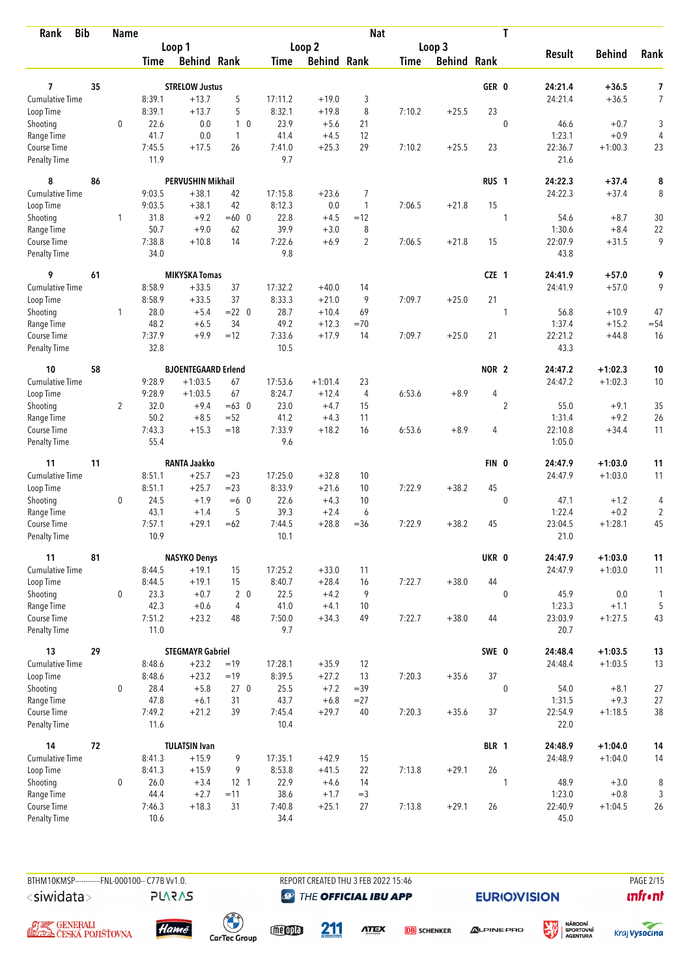| <b>Bib</b><br>Rank     |    | <b>Name</b>    |             |                            |            |         |                    | <b>Nat</b>     |             |                    |                  | T              |               |               |                |
|------------------------|----|----------------|-------------|----------------------------|------------|---------|--------------------|----------------|-------------|--------------------|------------------|----------------|---------------|---------------|----------------|
|                        |    |                |             | Loop 1                     |            |         | Loop <sub>2</sub>  |                |             | Loop 3             |                  |                |               |               |                |
|                        |    |                | <b>Time</b> | <b>Behind Rank</b>         |            | Time    | <b>Behind Rank</b> |                | <b>Time</b> | <b>Behind Rank</b> |                  |                | <b>Result</b> | <b>Behind</b> | Rank           |
| 7                      | 35 |                |             | <b>STRELOW Justus</b>      |            |         |                    |                |             |                    | GER 0            |                | 24:21.4       | +36.5         | 7              |
| <b>Cumulative Time</b> |    |                | 8:39.1      | $+13.7$                    | 5          | 17:11.2 | $+19.0$            | 3              |             |                    |                  |                | 24:21.4       | $+36.5$       | $\overline{7}$ |
| Loop Time              |    |                | 8:39.1      | $+13.7$                    | 5          | 8:32.1  | $+19.8$            | 8              | 7:10.2      | $+25.5$            | 23               |                |               |               |                |
| Shooting               |    | $\mathbf 0$    | 22.6        | 0.0                        | $1\quad0$  | 23.9    | $+5.6$             | 21             |             |                    |                  | $\mathbf{0}$   | 46.6          | $+0.7$        | 3              |
| Range Time             |    |                | 41.7        | 0.0                        | 1          | 41.4    | $+4.5$             | 12             |             |                    |                  |                | 1:23.1        | $+0.9$        | 4              |
| Course Time            |    |                | 7:45.5      | $+17.5$                    | 26         | 7:41.0  | $+25.3$            | 29             | 7:10.2      | $+25.5$            | 23               |                | 22:36.7       | $+1:00.3$     | 23             |
| <b>Penalty Time</b>    |    |                | 11.9        |                            |            | 9.7     |                    |                |             |                    |                  |                | 21.6          |               |                |
| 8                      | 86 |                |             | <b>PERVUSHIN Mikhail</b>   |            |         |                    |                |             |                    | RUS <sub>1</sub> |                | 24:22.3       | $+37.4$       | 8              |
| Cumulative Time        |    |                | 9:03.5      | $+38.1$                    | 42         | 17:15.8 | $+23.6$            | 7              |             |                    |                  |                | 24:22.3       | $+37.4$       | 8              |
| Loop Time              |    |                | 9:03.5      | $+38.1$                    | 42         | 8:12.3  | 0.0                | 1              | 7:06.5      | $+21.8$            | 15               |                |               |               |                |
| Shooting               |    | $\mathbf{1}$   | 31.8        | $+9.2$                     | $=60$ 0    | 22.8    | $+4.5$             | $=12$          |             |                    |                  | 1              | 54.6          | $+8.7$        | 30             |
| Range Time             |    |                | 50.7        | $+9.0$                     | 62         | 39.9    | $+3.0$             | 8              |             |                    |                  |                | 1:30.6        | $+8.4$        | 22             |
| Course Time            |    |                | 7:38.8      | $+10.8$                    | 14         | 7:22.6  | $+6.9$             | $\overline{2}$ | 7:06.5      | $+21.8$            | 15               |                | 22:07.9       | $+31.5$       | 9              |
| <b>Penalty Time</b>    |    |                | 34.0        |                            |            | 9.8     |                    |                |             |                    |                  |                | 43.8          |               |                |
| 9                      | 61 |                |             | <b>MIKYSKA Tomas</b>       |            |         |                    |                |             |                    | CZE 1            |                | 24:41.9       | $+57.0$       | 9              |
| Cumulative Time        |    |                | 8:58.9      | $+33.5$                    | 37         | 17:32.2 | $+40.0$            | 14             |             |                    |                  |                | 24:41.9       | $+57.0$       | 9              |
| Loop Time              |    |                | 8:58.9      | $+33.5$                    | 37         | 8:33.3  | $+21.0$            | 9              | 7:09.7      | $+25.0$            | 21               |                |               |               |                |
| Shooting               |    | 1              | 28.0        | $+5.4$                     | $= 22 \ 0$ | 28.7    | $+10.4$            | 69             |             |                    |                  | 1              | 56.8          | $+10.9$       | 47             |
| Range Time             |    |                | 48.2        | $+6.5$                     | 34         | 49.2    | $+12.3$            | $=70$          |             |                    |                  |                | 1:37.4        | $+15.2$       | $= 54$         |
| Course Time            |    |                | 7:37.9      | $+9.9$                     | $=12$      | 7:33.6  | $+17.9$            | 14             | 7:09.7      | $+25.0$            | 21               |                | 22:21.2       | $+44.8$       | 16             |
| <b>Penalty Time</b>    |    |                | 32.8        |                            |            | 10.5    |                    |                |             |                    |                  |                | 43.3          |               |                |
| 10                     | 58 |                |             | <b>BJOENTEGAARD Erlend</b> |            |         |                    |                |             |                    | NOR <sub>2</sub> |                | 24:47.2       | $+1:02.3$     | 10             |
| Cumulative Time        |    |                | 9:28.9      | $+1:03.5$                  | 67         | 17:53.6 | $+1:01.4$          | 23             |             |                    |                  |                | 24:47.2       | $+1:02.3$     | 10             |
| Loop Time              |    |                | 9:28.9      | $+1:03.5$                  | 67         | 8:24.7  | $+12.4$            | $\overline{4}$ | 6:53.6      | $+8.9$             | 4                |                |               |               |                |
| Shooting               |    | $\overline{2}$ | 32.0        | $+9.4$                     | $=63$ 0    | 23.0    | $+4.7$             | 15             |             |                    |                  | $\overline{2}$ | 55.0          | $+9.1$        | 35             |
| Range Time             |    |                | 50.2        | $+8.5$                     | $=52$      | 41.2    | $+4.3$             | 11             |             |                    |                  |                | 1:31.4        | $+9.2$        | 26             |
| Course Time            |    |                | 7:43.3      | $+15.3$                    | $=18$      | 7:33.9  | $+18.2$            | 16             | 6:53.6      | $+8.9$             | 4                |                | 22:10.8       | $+34.4$       | 11             |
| <b>Penalty Time</b>    |    |                | 55.4        |                            |            | 9.6     |                    |                |             |                    |                  |                | 1:05.0        |               |                |
| 11                     | 11 |                |             | <b>RANTA Jaakko</b>        |            |         |                    |                |             |                    | FIN 0            |                | 24:47.9       | $+1:03.0$     | 11             |
| <b>Cumulative Time</b> |    |                | 8:51.1      | $+25.7$                    | $= 23$     | 17:25.0 | $+32.8$            | 10             |             |                    |                  |                | 24:47.9       | $+1:03.0$     | 11             |
| Loop Time              |    |                | 8:51.1      | $+25.7$                    | $= 23$     | 8:33.9  | $+21.6$            | 10             | 7:22.9      | $+38.2$            | 45               |                |               |               |                |
| Shooting               |    | 0              | 24.5        | $+1.9$                     | $=6$ 0     | 22.6    | $+4.3$             | 10             |             |                    |                  | $\mathbf{0}$   | 47.1          | $+1.2$        | 4              |
| Range Time             |    |                | 43.1        | $+1.4$                     | 5          | 39.3    | $+2.4$             | 6              |             |                    |                  |                | 1:22.4        | $+0.2$        | $\overline{c}$ |
| Course Time            |    |                | 7:57.1      | $+29.1$                    | $=62$      | 7:44.5  | $+28.8$            | $=36$          | 7:22.9      | $+38.2$            | 45               |                | 23:04.5       | $+1:28.1$     | 45             |
| <b>Penalty Time</b>    |    |                | 10.9        |                            |            | 10.1    |                    |                |             |                    |                  |                | 21.0          |               |                |
| 11                     | 81 |                |             | <b>NASYKO Denys</b>        |            |         |                    |                |             |                    | UKR 0            |                | 24:47.9       | $+1:03.0$     | 11             |
| <b>Cumulative Time</b> |    |                | 8:44.5      | $+19.1$                    | 15         | 17:25.2 | $+33.0$            | 11             |             |                    |                  |                | 24:47.9       | $+1:03.0$     | 11             |
| Loop Time              |    |                | 8:44.5      | $+19.1$                    | 15         | 8:40.7  | $+28.4$            | 16             | 7:22.7      | $+38.0$            | 44               |                |               |               |                |
| Shooting               |    | 0              | 23.3        | $+0.7$                     | $2\quad0$  | 22.5    | $+4.2$             | 9              |             |                    |                  | $\mathbf{0}$   | 45.9          | 0.0           | $\mathbf{1}$   |
| Range Time             |    |                | 42.3        | $+0.6$                     | 4          | 41.0    | $+4.1$             | 10             |             |                    |                  |                | 1:23.3        | $+1.1$        | 5              |
| Course Time            |    |                | 7:51.2      | $+23.2$                    | 48         | 7:50.0  | $+34.3$            | 49             | 7:22.7      | $+38.0$            | 44               |                | 23:03.9       | $+1:27.5$     | 43             |
| Penalty Time           |    |                | 11.0        |                            |            | 9.7     |                    |                |             |                    |                  |                | 20.7          |               |                |
| 13                     | 29 |                |             | <b>STEGMAYR Gabriel</b>    |            |         |                    |                |             |                    | SWE 0            |                | 24:48.4       | $+1:03.5$     | 13             |
| <b>Cumulative Time</b> |    |                | 8:48.6      | $+23.2$                    | $=19$      | 17:28.1 | $+35.9$            | 12             |             |                    |                  |                | 24:48.4       | $+1:03.5$     | 13             |
| Loop Time              |    |                | 8:48.6      | $+23.2$                    | $=19$      | 8:39.5  | $+27.2$            | 13             | 7:20.3      | $+35.6$            | 37               |                |               |               |                |
| Shooting               |    | 0              | 28.4        | $+5.8$                     | 270        | 25.5    | $+7.2$             | $=39$          |             |                    |                  | $\mathbf 0$    | 54.0          | $+8.1$        | 27             |
| Range Time             |    |                | 47.8        | $+6.1$                     | 31         | 43.7    | $+6.8$             | $= 27$         |             |                    |                  |                | 1:31.5        | $+9.3$        | 27             |
| Course Time            |    |                | 7:49.2      | $+21.2$                    | 39         | 7:45.4  | $+29.7$            | 40             | 7:20.3      | $+35.6$            | 37               |                | 22:54.9       | $+1:18.5$     | $38\,$         |
| Penalty Time           |    |                | 11.6        |                            |            | 10.4    |                    |                |             |                    |                  |                | 22.0          |               |                |
| 14                     | 72 |                |             | <b>TULATSIN Ivan</b>       |            |         |                    |                |             |                    | BLR 1            |                | 24:48.9       | $+1:04.0$     | 14             |
| <b>Cumulative Time</b> |    |                | 8:41.3      | $+15.9$                    | 9          | 17:35.1 | $+42.9$            | 15             |             |                    |                  |                | 24:48.9       | $+1:04.0$     | 14             |
| Loop Time              |    |                | 8:41.3      | $+15.9$                    | 9          | 8:53.8  | $+41.5$            | 22             | 7:13.8      | $+29.1$            | 26               |                |               |               |                |
| Shooting               |    | $\mathbf 0$    | 26.0        | $+3.4$                     | $12-1$     | 22.9    | $+4.6$             | 14             |             |                    |                  | 1              | 48.9          | $+3.0$        | 8              |
| Range Time             |    |                | 44.4        | $+2.7$                     | $=11$      | 38.6    | $+1.7$             | $=$ 3          |             |                    |                  |                | 1:23.0        | $+0.8$        | 3              |
| Course Time            |    |                | 7:46.3      | $+18.3$                    | 31         | 7:40.8  | $+25.1$            | 27             | 7:13.8      | $+29.1$            | 26               |                | 22:40.9       | $+1:04.5$     | 26             |
| Penalty Time           |    |                | 10.6        |                            |            | 34.4    |                    |                |             |                    |                  |                | 45.0          |               |                |

BTHM10KMSP-----------FNL-000100-- C77B Vv1.0. REPORT CREATED THU 3 FEB 2022 15:46 PAGE 2015 <siwidata>

**PLARAS** 

**@** THE OFFICIAL IBU APP

**EURIO)VISION** 

姿







meona

211

**ATEX DB** SCHENKER

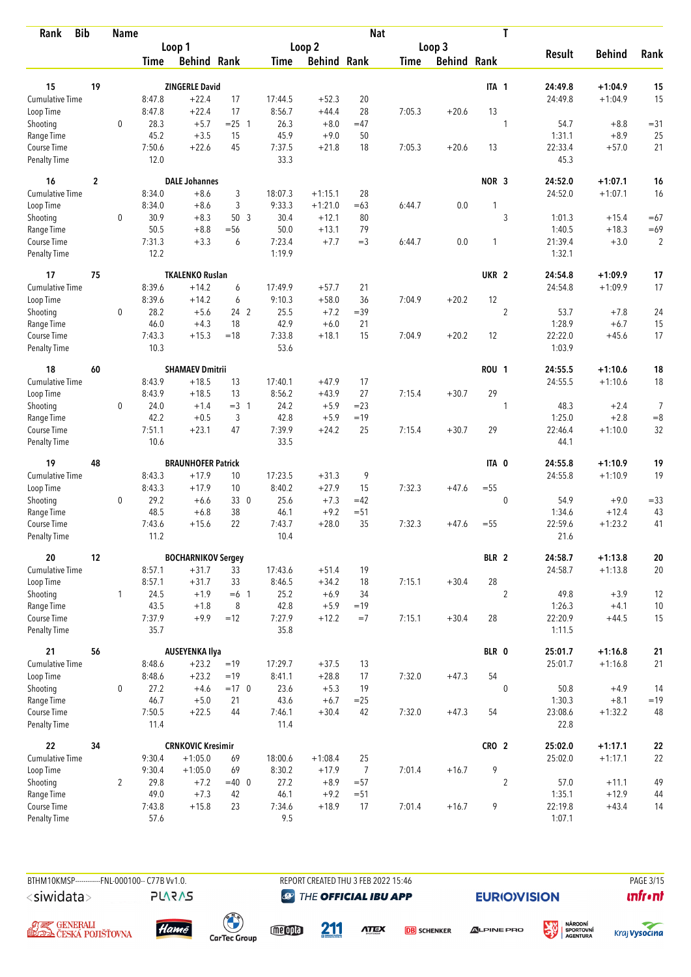| <b>Bib</b><br>Rank           |                  | <b>Name</b>    |                  |                                       |                 |                |                      | <b>Nat</b>       |             |                    |                  | $\mathbf T$      |                 |                    |                |
|------------------------------|------------------|----------------|------------------|---------------------------------------|-----------------|----------------|----------------------|------------------|-------------|--------------------|------------------|------------------|-----------------|--------------------|----------------|
|                              |                  |                |                  | Loop 1                                |                 |                | Loop 2               |                  |             | Loop 3             |                  |                  |                 |                    |                |
|                              |                  |                | <b>Time</b>      | <b>Behind Rank</b>                    |                 | Time           | <b>Behind Rank</b>   |                  | <b>Time</b> | <b>Behind Rank</b> |                  |                  | <b>Result</b>   | <b>Behind</b>      | Rank           |
| 15                           | 19               |                |                  | <b>ZINGERLE David</b>                 |                 |                |                      |                  |             |                    | ITA 1            |                  | 24:49.8         | $+1:04.9$          | 15             |
| Cumulative Time              |                  |                | 8:47.8           | $+22.4$                               | 17              | 17:44.5        | $+52.3$              | 20               |             |                    |                  |                  | 24:49.8         | $+1:04.9$          | 15             |
| Loop Time                    |                  |                | 8:47.8           | $+22.4$                               | 17              | 8:56.7         | $+44.4$              | 28               | 7:05.3      | $+20.6$            | 13               |                  |                 |                    |                |
| Shooting                     |                  | $\mathbf 0$    | 28.3             | $+5.7$                                | $= 25$ 1        | 26.3           | $+8.0$               | $=47$            |             |                    |                  | 1                | 54.7            | $+8.8$             | $= 31$         |
| Range Time                   |                  |                | 45.2             | $+3.5$                                | 15              | 45.9           | $+9.0$               | 50               |             |                    |                  |                  | 1:31.1          | $+8.9$             | 25             |
| Course Time                  |                  |                | 7:50.6           | $+22.6$                               | 45              | 7:37.5         | $+21.8$              | 18               | 7:05.3      | $+20.6$            | 13               |                  | 22:33.4         | $+57.0$            | 21             |
| <b>Penalty Time</b>          |                  |                | 12.0             |                                       |                 | 33.3           |                      |                  |             |                    |                  |                  | 45.3            |                    |                |
| 16                           | $\boldsymbol{2}$ |                |                  | <b>DALE Johannes</b>                  |                 |                |                      |                  |             |                    | NOR <sub>3</sub> |                  | 24:52.0         | $+1:07.1$          | 16             |
| <b>Cumulative Time</b>       |                  |                | 8:34.0           | $+8.6$                                | 3               | 18:07.3        | $+1:15.1$            | 28               |             |                    |                  |                  | 24:52.0         | $+1:07.1$          | 16             |
| Loop Time                    |                  |                | 8:34.0           | $+8.6$                                | 3               | 9:33.3         | $+1:21.0$            | $=63$            | 6:44.7      | 0.0                |                  |                  |                 |                    |                |
| Shooting                     |                  | 0              | 30.9             | $+8.3$                                | 50 <sub>3</sub> | 30.4           | $+12.1$              | 80               |             |                    |                  | 3                | 1:01.3          | $+15.4$            | $=67$          |
| Range Time                   |                  |                | 50.5             | $+8.8$                                | $= 56$          | 50.0           | $+13.1$              | 79               |             |                    |                  |                  | 1:40.5          | $+18.3$            | $=69$          |
| Course Time                  |                  |                | 7:31.3           | $+3.3$                                | 6               | 7:23.4         | $+7.7$               | $=$ 3            | 6:44.7      | 0.0                | 1                |                  | 21:39.4         | $+3.0$             | $\overline{2}$ |
| <b>Penalty Time</b>          |                  |                | 12.2             |                                       |                 | 1:19.9         |                      |                  |             |                    |                  |                  | 1:32.1          |                    |                |
| 17                           | 75               |                |                  | <b>TKALENKO Ruslan</b>                |                 |                |                      |                  |             |                    | UKR <sub>2</sub> |                  | 24:54.8         | $+1:09.9$          | 17             |
| <b>Cumulative Time</b>       |                  |                | 8:39.6           | $+14.2$                               | 6               | 17:49.9        | $+57.7$              | 21               |             |                    |                  |                  | 24:54.8         | $+1:09.9$          | 17             |
| Loop Time                    |                  |                | 8:39.6           | $+14.2$                               | 6               | 9:10.3         | $+58.0$              | 36               | 7:04.9      | $+20.2$            | 12               |                  |                 |                    |                |
| Shooting                     |                  | $\mathbf 0$    | 28.2             | $+5.6$                                | 24 2            | 25.5           | $+7.2$               | $=39$            |             |                    |                  | $\boldsymbol{2}$ | 53.7            | $+7.8$             | 24             |
| Range Time                   |                  |                | 46.0             | $+4.3$                                | 18              | 42.9           | $+6.0$               | 21               |             |                    |                  |                  | 1:28.9          | $+6.7$             | 15             |
| Course Time                  |                  |                | 7:43.3           | $+15.3$                               | $=18$           | 7:33.8         | $+18.1$              | 15               | 7:04.9      | $+20.2$            | 12               |                  | 22:22.0         | $+45.6$            | 17             |
| <b>Penalty Time</b>          |                  |                | 10.3             |                                       |                 | 53.6           |                      |                  |             |                    |                  |                  | 1:03.9          |                    |                |
| 18                           | 60               |                |                  | <b>SHAMAEV Dmitrii</b>                |                 |                |                      |                  |             |                    | <b>ROU 1</b>     |                  | 24:55.5         | $+1:10.6$          | 18             |
| Cumulative Time              |                  |                | 8:43.9           | $+18.5$                               | 13              | 17:40.1        | $+47.9$              | 17               |             |                    |                  |                  | 24:55.5         | $+1:10.6$          | 18             |
| Loop Time                    |                  |                | 8:43.9           | $+18.5$                               | 13              | 8:56.2         | $+43.9$              | 27               | 7:15.4      | $+30.7$            | 29               |                  |                 |                    |                |
| Shooting                     |                  | 0              | 24.0             | $+1.4$                                | $=3 \quad 1$    | 24.2           | $+5.9$               | $=23$            |             |                    |                  | 1                | 48.3            | $+2.4$             | $\overline{7}$ |
| Range Time                   |                  |                | 42.2             | $+0.5$                                | 3               | 42.8           | $+5.9$               | $=19$            |             |                    |                  |                  | 1:25.0          | $+2.8$             | $=8$           |
| Course Time                  |                  |                | 7:51.1           | $+23.1$                               | 47              | 7:39.9         | $+24.2$              | 25               | 7:15.4      | $+30.7$            | 29               |                  | 22:46.4         | $+1:10.0$          | 32             |
| <b>Penalty Time</b>          |                  |                | 10.6             |                                       |                 | 33.5           |                      |                  |             |                    |                  |                  | 44.1            |                    |                |
| 19                           | 48               |                |                  | <b>BRAUNHOFER Patrick</b>             |                 |                |                      |                  |             |                    | ITA 0            |                  | 24:55.8         | $+1:10.9$          | 19             |
| <b>Cumulative Time</b>       |                  |                | 8:43.3           | $+17.9$                               | 10              | 17:23.5        | $+31.3$              | 9                |             |                    |                  |                  | 24:55.8         | $+1:10.9$          | 19             |
| Loop Time                    |                  |                | 8:43.3           | $+17.9$                               | 10              | 8:40.2         | $+27.9$              | 15               | 7:32.3      | $+47.6$            | $=55$            |                  |                 |                    |                |
| Shooting                     |                  | 0              | 29.2             | $+6.6$                                | 33 0            | 25.6           | $+7.3$               | $=42$            |             |                    |                  | $\mathbf{0}$     | 54.9            | $+9.0$             | $= 33$         |
| Range Time                   |                  |                | 48.5             | $+6.8$                                | 38              | 46.1           | $+9.2$               | $= 51$           |             |                    |                  |                  | 1:34.6          | $+12.4$            | 43             |
| Course Time                  |                  |                | 7:43.6           | $+15.6$                               | 22              | 7:43.7         | $+28.0$              | 35               | 7:32.3      | $+47.6$            | $= 55$           |                  | 22:59.6         | $+1:23.2$          | 41             |
| <b>Penalty Time</b>          |                  |                | 11.2             |                                       |                 | 10.4           |                      |                  |             |                    |                  |                  | 21.6            |                    |                |
| 20                           | 12               |                |                  | <b>BOCHARNIKOV Sergey</b>             |                 |                |                      |                  |             |                    | BLR 2            |                  | 24:58.7         | $+1:13.8$          | 20             |
| <b>Cumulative Time</b>       |                  |                | 8:57.1           | $+31.7$                               | 33              | 17:43.6        | $+51.4$              | 19               |             |                    |                  |                  | 24:58.7         | $+1:13.8$          | 20             |
| Loop Time                    |                  |                | 8:57.1           | $+31.7$                               | 33              | 8:46.5         | $+34.2$              | 18               | 7:15.1      | $+30.4$            | 28               |                  |                 |                    |                |
| Shooting                     |                  | $\mathbf{1}$   | 24.5             | $+1.9$                                | $=6$ 1          | 25.2           | $+6.9$               | 34               |             |                    |                  | $\overline{2}$   | 49.8            | $+3.9$             | 12             |
| Range Time                   |                  |                | 43.5             | $+1.8$                                | 8               | 42.8           | $+5.9$               | $=19$            |             |                    |                  |                  | 1:26.3          | $+4.1$             | 10             |
| Course Time                  |                  |                | 7:37.9           | $+9.9$                                | $=12$           | 7:27.9         | $+12.2$              | $=7$             | 7:15.1      | $+30.4$            | 28               |                  | 22:20.9         | $+44.5$            | 15             |
| Penalty Time                 |                  |                | 35.7             |                                       |                 | 35.8           |                      |                  |             |                    |                  |                  | 1:11.5          |                    |                |
| 21                           | 56               |                |                  | <b>AUSEYENKA Ilya</b>                 |                 |                |                      |                  |             |                    | BLR 0            |                  | 25:01.7         | $+1:16.8$          | 21             |
| <b>Cumulative Time</b>       |                  |                | 8:48.6           | $+23.2$                               | $=19$           | 17:29.7        | $+37.5$              | 13               |             |                    |                  |                  | 25:01.7         | $+1:16.8$          | 21             |
| Loop Time                    |                  |                | 8:48.6           | $+23.2$                               | $=19$           | 8:41.1         | $+28.8$              | 17               | 7:32.0      | $+47.3$            | 54               |                  |                 |                    |                |
| Shooting                     |                  | 0              | 27.2             | $+4.6$                                | $=17$ 0         | 23.6           | $+5.3$               | 19               |             |                    |                  | $\mathbf 0$      | 50.8            | $+4.9$             | 14             |
| Range Time                   |                  |                | 46.7             | $+5.0$                                | 21              | 43.6           | $+6.7$               | $= 25$           |             |                    |                  |                  | 1:30.3          | $+8.1$             | $=19$          |
| Course Time<br>Penalty Time  |                  |                | 7:50.5<br>11.4   | $+22.5$                               | 44              | 7:46.1<br>11.4 | $+30.4$              | 42               | 7:32.0      | $+47.3$            | 54               |                  | 23:08.6<br>22.8 | $+1:32.2$          | 48             |
|                              |                  |                |                  |                                       |                 |                |                      |                  |             |                    |                  |                  |                 |                    |                |
| 22<br><b>Cumulative Time</b> | 34               |                |                  | <b>CRNKOVIC Kresimir</b><br>$+1:05.0$ |                 |                |                      |                  |             |                    | CRO <sub>2</sub> |                  | 25:02.0         | $+1:17.1$          | ${\bf 22}$     |
|                              |                  |                | 9:30.4<br>9:30.4 | $+1:05.0$                             | 69<br>69        | 18:00.6        | $+1:08.4$<br>$+17.9$ | 25               |             |                    | 9                |                  | 25:02.0         | $+1:17.1$          | 22             |
| Loop Time                    |                  |                |                  |                                       |                 | 8:30.2<br>27.2 | $+8.9$               | $\overline{7}$   | 7:01.4      | $+16.7$            |                  |                  |                 |                    |                |
| Shooting                     |                  | $\overline{2}$ | 29.8<br>49.0     | $+7.2$<br>$+7.3$                      | $=40$ 0<br>42   | 46.1           | $+9.2$               | $= 57$<br>$= 51$ |             |                    |                  | $\overline{2}$   | 57.0<br>1:35.1  | $+11.1$<br>$+12.9$ | 49<br>44       |
| Range Time<br>Course Time    |                  |                | 7:43.8           | $+15.8$                               | 23              | 7:34.6         | $+18.9$              | 17               | 7:01.4      | $+16.7$            | 9                |                  | 22:19.8         | $+43.4$            | 14             |
| Penalty Time                 |                  |                | 57.6             |                                       |                 | 9.5            |                      |                  |             |                    |                  |                  | 1:07.1          |                    |                |
|                              |                  |                |                  |                                       |                 |                |                      |                  |             |                    |                  |                  |                 |                    |                |

BTHM10KMSP-----------FNL-000100-- C77B Vv1.0. REPORT CREATED THU 3 FEB 2022 15:46 PAGE 3/15 <siwidata>

**@** THE OFFICIAL IBU APP

**EURIO)VISION** 







**PLARAS** 

 $\begin{pmatrix} 1 \\ 1 \end{pmatrix}$ <br>CarTec Group

meona

211 **ATEX** 

**DB** SCHENKER

**ALPINE PRO** 



溪

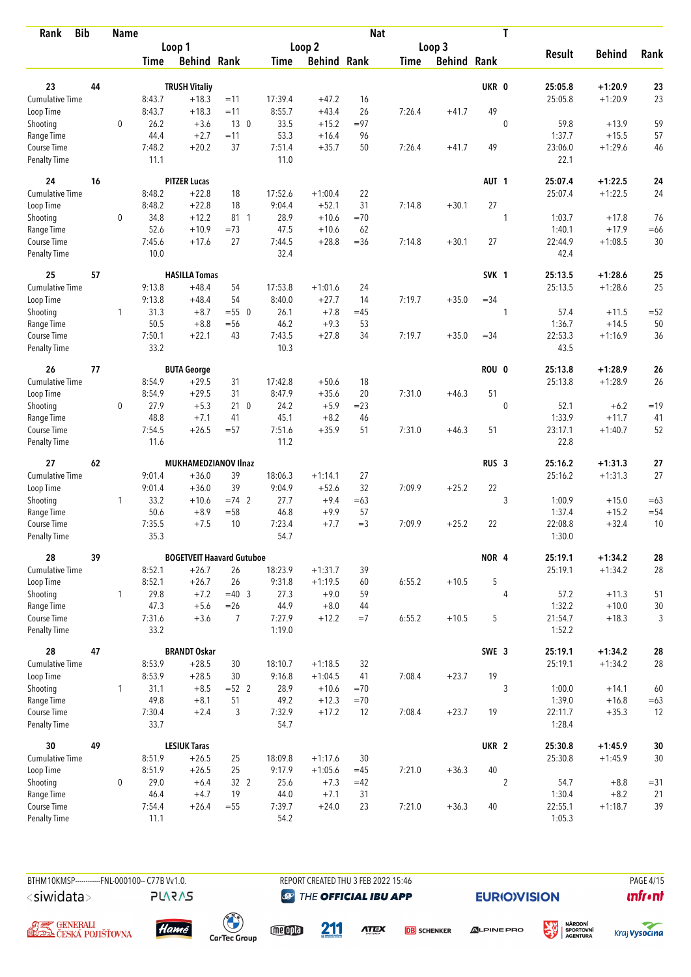| <b>Bib</b><br>Rank          |    | <b>Name</b>  |                |                                  |                |                  |                    | <b>Nat</b>   |             |                    |                  | $\mathbf T$    |                   |                      |          |
|-----------------------------|----|--------------|----------------|----------------------------------|----------------|------------------|--------------------|--------------|-------------|--------------------|------------------|----------------|-------------------|----------------------|----------|
|                             |    |              |                | Loop 1                           |                |                  | Loop <sub>2</sub>  |              |             | Loop 3             |                  |                |                   |                      |          |
|                             |    |              | <b>Time</b>    | <b>Behind Rank</b>               |                | Time             | <b>Behind Rank</b> |              | <b>Time</b> | <b>Behind Rank</b> |                  |                | <b>Result</b>     | <b>Behind</b>        | Rank     |
|                             |    |              |                |                                  |                |                  |                    |              |             |                    |                  |                |                   |                      |          |
| 23                          | 44 |              |                | <b>TRUSH Vitaliy</b>             |                |                  |                    |              |             |                    | UKR 0            |                | 25:05.8           | $+1:20.9$            | 23       |
| Cumulative Time             |    |              | 8:43.7         | $+18.3$                          | $=11$          | 17:39.4          | $+47.2$            | 16           |             |                    | 49               |                | 25:05.8           | $+1:20.9$            | 23       |
| Loop Time                   |    |              | 8:43.7         | $+18.3$                          | $=11$          | 8:55.7           | $+43.4$            | 26           | 7:26.4      | $+41.7$            |                  |                |                   |                      |          |
| Shooting                    |    | $\mathbf 0$  | 26.2<br>44.4   | $+3.6$<br>$+2.7$                 | 130<br>$=11$   | 33.5             | $+15.2$            | $= 97$<br>96 |             |                    |                  | $\mathbf{0}$   | 59.8<br>1:37.7    | $+13.9$              | 59       |
| Range Time<br>Course Time   |    |              | 7:48.2         | $+20.2$                          | 37             | 53.3<br>7:51.4   | $+16.4$<br>$+35.7$ | 50           | 7:26.4      | $+41.7$            | 49               |                | 23:06.0           | $+15.5$<br>$+1:29.6$ | 57<br>46 |
| <b>Penalty Time</b>         |    |              | 11.1           |                                  |                | 11.0             |                    |              |             |                    |                  |                | 22.1              |                      |          |
| 24                          | 16 |              |                | <b>PITZER Lucas</b>              |                |                  |                    |              |             |                    | AUT <sub>1</sub> |                | 25:07.4           | $+1:22.5$            | 24       |
| Cumulative Time             |    |              | 8:48.2         | $+22.8$                          | 18             | 17:52.6          | $+1:00.4$          | 22           |             |                    |                  |                | 25:07.4           | $+1:22.5$            | 24       |
| Loop Time                   |    |              | 8:48.2         | $+22.8$                          | 18             | 9:04.4           | $+52.1$            | 31           | 7:14.8      | $+30.1$            | 27               |                |                   |                      |          |
| Shooting                    |    | 0            | 34.8           | $+12.2$                          | 81 1           | 28.9             | $+10.6$            | $=70$        |             |                    |                  | 1              | 1:03.7            | $+17.8$              | 76       |
| Range Time                  |    |              | 52.6           | $+10.9$                          | $=73$          | 47.5             | $+10.6$            | 62           |             |                    |                  |                | 1:40.1            | $+17.9$              | $=66$    |
| Course Time                 |    |              | 7:45.6         | $+17.6$                          | 27             | 7:44.5           | $+28.8$            | $= 36$       | 7:14.8      | $+30.1$            | 27               |                | 22:44.9           | $+1:08.5$            | 30       |
| <b>Penalty Time</b>         |    |              | 10.0           |                                  |                | 32.4             |                    |              |             |                    |                  |                | 42.4              |                      |          |
| 25                          | 57 |              |                | <b>HASILLA Tomas</b>             |                |                  |                    |              |             |                    | SVK 1            |                | 25:13.5           | $+1:28.6$            | 25       |
| <b>Cumulative Time</b>      |    |              | 9:13.8         | $+48.4$                          | 54             | 17:53.8          | $+1:01.6$          | 24           |             |                    |                  |                | 25:13.5           | $+1:28.6$            | 25       |
| Loop Time                   |    |              | 9:13.8         | $+48.4$                          | 54             | 8:40.0           | $+27.7$            | 14           | 7:19.7      | $+35.0$            | $= 34$           |                |                   |                      |          |
| Shooting                    |    | 1            | 31.3           | $+8.7$                           | $= 550$        | 26.1             | $+7.8$             | $=45$        |             |                    |                  | 1              | 57.4              | $+11.5$              | $=52$    |
| Range Time                  |    |              | 50.5           | $+8.8$                           | $=$ 56         | 46.2             | $+9.3$             | 53           |             |                    |                  |                | 1:36.7            | $+14.5$              | 50       |
| Course Time                 |    |              | 7:50.1         | $+22.1$                          | 43             | 7:43.5           | $+27.8$            | 34           | 7:19.7      | $+35.0$            | $= 34$           |                | 22:53.3           | $+1:16.9$            | 36       |
| <b>Penalty Time</b>         |    |              | 33.2           |                                  |                | 10.3             |                    |              |             |                    |                  |                | 43.5              |                      |          |
| 26                          | 77 |              |                | <b>BUTA George</b>               |                |                  |                    |              |             |                    | ROU 0            |                | 25:13.8           | $+1:28.9$            | 26       |
| Cumulative Time             |    |              | 8:54.9         | $+29.5$                          | 31             | 17:42.8          | $+50.6$            | 18           |             |                    |                  |                | 25:13.8           | $+1:28.9$            | 26       |
| Loop Time                   |    |              | 8:54.9         | $+29.5$                          | 31             | 8:47.9           | $+35.6$            | 20           | 7:31.0      | $+46.3$            | 51               |                |                   |                      |          |
| Shooting                    |    | 0            | 27.9           | $+5.3$                           | 210            | 24.2             | $+5.9$             | $=23$        |             |                    |                  | $\mathbf 0$    | 52.1              | $+6.2$               | $=19$    |
| Range Time                  |    |              | 48.8           | $+7.1$                           | 41             | 45.1             | $+8.2$             | 46           |             |                    |                  |                | 1:33.9            | $+11.7$              | 41       |
| Course Time                 |    |              | 7:54.5         | $+26.5$                          | $= 57$         | 7:51.6           | $+35.9$            | 51           | 7:31.0      | $+46.3$            | 51               |                | 23:17.1           | $+1:40.7$            | 52       |
| <b>Penalty Time</b>         |    |              | 11.6           |                                  |                | 11.2             |                    |              |             |                    |                  |                | 22.8              |                      |          |
| 27                          | 62 |              |                | <b>MUKHAMEDZIANOV Ilnaz</b>      |                |                  |                    |              |             |                    | RUS <sub>3</sub> |                | 25:16.2           | $+1:31.3$            | 27       |
| <b>Cumulative Time</b>      |    |              | 9:01.4         | $+36.0$                          | 39             | 18:06.3          | $+1:14.1$          | 27           |             |                    |                  |                | 25:16.2           | $+1:31.3$            | 27       |
| Loop Time                   |    |              | 9:01.4         | $+36.0$                          | 39             | 9:04.9           | $+52.6$            | 32           | 7:09.9      | $+25.2$            | 22               |                |                   |                      |          |
| Shooting                    |    | $\mathbf{1}$ | 33.2           | $+10.6$                          | $=74$ 2        | 27.7             | $+9.4$             | $=63$        |             |                    |                  | 3              | 1:00.9            | $+15.0$              | $=63$    |
| Range Time                  |    |              | 50.6           | $+8.9$                           | $= 58$         | 46.8             | $+9.9$             | 57           |             |                    |                  |                | 1:37.4            | $+15.2$              | $= 54$   |
| Course Time                 |    |              | 7:35.5         | $+7.5$                           | 10             | 7:23.4           | $+7.7$             | $=$ 3        | 7:09.9      | $+25.2$            | 22               |                | 22:08.8           | $+32.4$              | 10       |
| <b>Penalty Time</b>         |    |              | 35.3           |                                  |                | 54.7             |                    |              |             |                    |                  |                | 1:30.0            |                      |          |
| 28                          | 39 |              |                | <b>BOGETVEIT Haavard Gutuboe</b> |                |                  |                    |              |             |                    | NOR 4            |                | 25:19.1           | $+1:34.2$            | 28       |
| <b>Cumulative Time</b>      |    |              | 8:52.1         | $+26.7$                          | 26             | 18:23.9          | $+1:31.7$          | 39           |             |                    |                  |                | 25:19.1           | $+1:34.2$            | 28       |
| Loop Time                   |    |              | 8:52.1         | $+26.7$                          | 26             | 9:31.8           | $+1:19.5$          | 60           | 6:55.2      | $+10.5$            | 5                |                |                   |                      |          |
| Shooting                    |    | $\mathbf{1}$ | 29.8           | $+7.2$                           | $=40.3$        | 27.3             | $+9.0$             | 59           |             |                    |                  | 4              | 57.2              | $+11.3$              | 51       |
| Range Time                  |    |              | 47.3           | $+5.6$                           | $=26$          | 44.9             | $+8.0$             | 44           |             |                    |                  |                | 1:32.2            | $+10.0$              | $30\,$   |
| Course Time<br>Penalty Time |    |              | 7:31.6<br>33.2 | $+3.6$                           | $\overline{7}$ | 7:27.9<br>1:19.0 | $+12.2$            | $=7$         | 6:55.2      | $+10.5$            | 5                |                | 21:54.7<br>1:52.2 | $+18.3$              | 3        |
| 28                          | 47 |              |                | <b>BRANDT Oskar</b>              |                |                  |                    |              |             |                    | SWE 3            |                | 25:19.1           | $+1:34.2$            | 28       |
| <b>Cumulative Time</b>      |    |              | 8:53.9         | $+28.5$                          | 30             | 18:10.7          | $+1:18.5$          | 32           |             |                    |                  |                | 25:19.1           | $+1:34.2$            | 28       |
| Loop Time                   |    |              | 8:53.9         | $+28.5$                          | 30             | 9:16.8           | $+1:04.5$          | 41           | 7:08.4      | $+23.7$            | 19               |                |                   |                      |          |
| Shooting                    |    | $\mathbf{1}$ | 31.1           | $+8.5$                           | $=52$ 2        | 28.9             | $+10.6$            | $=70$        |             |                    |                  | 3              | 1:00.0            | $+14.1$              | 60       |
| Range Time                  |    |              | 49.8           | $+8.1$                           | 51             | 49.2             | $+12.3$            | $=70$        |             |                    |                  |                | 1:39.0            | $+16.8$              | $=63$    |
| Course Time                 |    |              | 7:30.4         | $+2.4$                           | 3              | 7:32.9           | $+17.2$            | 12           | 7:08.4      | $+23.7$            | 19               |                | 22:11.7           | $+35.3$              | 12       |
| Penalty Time                |    |              | 33.7           |                                  |                | 54.7             |                    |              |             |                    |                  |                | 1:28.4            |                      |          |
| 30                          | 49 |              |                | <b>LESIUK Taras</b>              |                |                  |                    |              |             |                    | UKR <sub>2</sub> |                | 25:30.8           | $+1:45.9$            | $30\,$   |
| <b>Cumulative Time</b>      |    |              | 8:51.9         | $+26.5$                          | 25             | 18:09.8          | $+1:17.6$          | 30           |             |                    |                  |                | 25:30.8           | $+1:45.9$            | 30       |
| Loop Time                   |    |              | 8:51.9         | $+26.5$                          | 25             | 9:17.9           | $+1:05.6$          | $=45$        | 7:21.0      | $+36.3$            | 40               |                |                   |                      |          |
| Shooting                    |    | $\mathbf 0$  | 29.0           | $+6.4$                           | 32 2           | 25.6             | $+7.3$             | $=42$        |             |                    |                  | $\overline{2}$ | 54.7              | $+8.8$               | $= 31$   |
| Range Time                  |    |              | 46.4           | $+4.7$                           | 19             | 44.0             | $+7.1$             | 31           |             |                    |                  |                | 1:30.4            | $+8.2$               | 21       |
| Course Time                 |    |              | 7:54.4         | $+26.4$                          | $=55$          | 7:39.7           | $+24.0$            | 23           | 7:21.0      | $+36.3$            | 40               |                | 22:55.1           | $+1:18.7$            | 39       |
| Penalty Time                |    |              | 11.1           |                                  |                | 54.2             |                    |              |             |                    |                  |                | 1:05.3            |                      |          |

BTHM10KMSP-----------FNL-000100-- C77B Vv1.0. REPORT CREATED THU 3 FEB 2022 15:46 PAGE 4/15 <siwidata>

**@** THE OFFICIAL IBU APP

**ATEX** 

**EURIO)VISION** 

溪





A <del>și C</del>enerali<br>**Ceská polišťovna** 



**PLARAS** 

 $\begin{pmatrix} 1 \\ 1 \end{pmatrix}$ <br>CarTec Group meona

211

**DB** SCHENKER

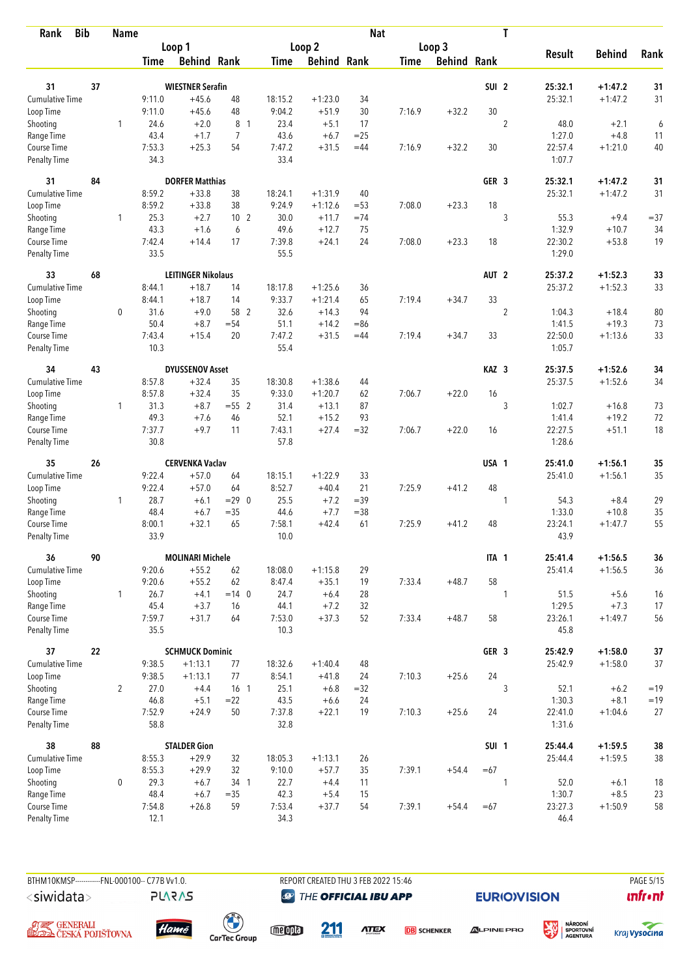| <b>Bib</b><br>Rank                 |    | <b>Name</b>    |                |                           |                 |                |                    | <b>Nat</b> |             |             |                  | T                |                   |               |            |
|------------------------------------|----|----------------|----------------|---------------------------|-----------------|----------------|--------------------|------------|-------------|-------------|------------------|------------------|-------------------|---------------|------------|
|                                    |    |                |                | Loop 1                    |                 |                | Loop 2             |            |             | Loop 3      |                  |                  |                   |               |            |
|                                    |    |                | Time           | <b>Behind Rank</b>        |                 | Time           | <b>Behind Rank</b> |            | <b>Time</b> | Behind Rank |                  |                  | <b>Result</b>     | <b>Behind</b> | Rank       |
| 31                                 | 37 |                |                | <b>WIESTNER Serafin</b>   |                 |                |                    |            |             |             | SUI <sub>2</sub> |                  | 25:32.1           | $+1:47.2$     | 31         |
| <b>Cumulative Time</b>             |    |                | 9:11.0         | $+45.6$                   | 48              | 18:15.2        | $+1:23.0$          | 34         |             |             |                  |                  | 25:32.1           | $+1:47.2$     | 31         |
| Loop Time                          |    |                | 9:11.0         | $+45.6$                   | 48              | 9:04.2         | $+51.9$            | 30         | 7:16.9      | $+32.2$     | 30               |                  |                   |               |            |
| Shooting                           |    | 1              | 24.6           | $+2.0$                    | 8 <sub>1</sub>  | 23.4           | $+5.1$             | 17         |             |             |                  | $\overline{2}$   | 48.0              | $+2.1$        | 6          |
| Range Time                         |    |                | 43.4           | $+1.7$                    | 7               | 43.6           | $+6.7$             | $=25$      |             |             |                  |                  | 1:27.0            | $+4.8$        | 11         |
| Course Time                        |    |                | 7:53.3         | $+25.3$                   | 54              | 7:47.2         | $+31.5$            | $=44$      | 7:16.9      | $+32.2$     | 30               |                  | 22:57.4           | $+1:21.0$     | $40\,$     |
| <b>Penalty Time</b>                |    |                | 34.3           |                           |                 | 33.4           |                    |            |             |             |                  |                  | 1:07.7            |               |            |
| 31                                 | 84 |                |                | <b>DORFER Matthias</b>    |                 |                |                    |            |             |             | GER <sub>3</sub> |                  | 25:32.1           | $+1:47.2$     | 31         |
| Cumulative Time                    |    |                | 8:59.2         | $+33.8$                   | 38              | 18:24.1        | $+1:31.9$          | 40         |             |             |                  |                  | 25:32.1           | $+1:47.2$     | 31         |
| Loop Time                          |    |                | 8:59.2         | $+33.8$                   | 38              | 9:24.9         | $+1:12.6$          | $= 53$     | 7:08.0      | $+23.3$     | 18               |                  |                   |               |            |
| Shooting                           |    | $\mathbf{1}$   | 25.3           | $+2.7$                    | 10 <sub>2</sub> | 30.0           | $+11.7$            | $=74$      |             |             |                  | 3                | 55.3              | $+9.4$        | $= 37$     |
| Range Time                         |    |                | 43.3           | $+1.6$                    | 6               | 49.6           | $+12.7$            | 75         |             |             |                  |                  | 1:32.9            | $+10.7$       | 34         |
| Course Time                        |    |                | 7:42.4         | $+14.4$                   | 17              | 7:39.8         | $+24.1$            | 24         | 7:08.0      | $+23.3$     | 18               |                  | 22:30.2           | $+53.8$       | 19         |
| <b>Penalty Time</b>                |    |                | 33.5           |                           |                 | 55.5           |                    |            |             |             |                  |                  | 1:29.0            |               |            |
| 33                                 | 68 |                |                | <b>LEITINGER Nikolaus</b> |                 |                |                    |            |             |             | AUT <sub>2</sub> |                  | 25:37.2           | $+1:52.3$     | 33         |
| <b>Cumulative Time</b>             |    |                | 8:44.1         | $+18.7$                   | 14              | 18:17.8        | $+1:25.6$          | 36         |             |             |                  |                  | 25:37.2           | $+1:52.3$     | 33         |
| Loop Time                          |    |                | 8:44.1         | $+18.7$                   | 14              | 9:33.7         | $+1:21.4$          | 65         | 7:19.4      | $+34.7$     | 33               |                  |                   |               |            |
| Shooting                           |    | $\mathbf 0$    | 31.6           | $+9.0$                    | 58 2            | 32.6           | $+14.3$            | 94         |             |             |                  | $\boldsymbol{2}$ | 1:04.3            | $+18.4$       | 80         |
| Range Time                         |    |                | 50.4           | $+8.7$                    | $= 54$          | 51.1           | $+14.2$            | $= 86$     |             |             |                  |                  | 1:41.5            | $+19.3$       | 73         |
| Course Time<br><b>Penalty Time</b> |    |                | 7:43.4<br>10.3 | $+15.4$                   | 20              | 7:47.2<br>55.4 | $+31.5$            | $=44$      | 7:19.4      | $+34.7$     | 33               |                  | 22:50.0<br>1:05.7 | $+1:13.6$     | 33         |
| 34                                 | 43 |                |                | <b>DYUSSENOV Asset</b>    |                 |                |                    |            |             |             | KAZ <sub>3</sub> |                  | 25:37.5           | $+1:52.6$     | 34         |
| Cumulative Time                    |    |                | 8:57.8         | $+32.4$                   | 35              | 18:30.8        | $+1:38.6$          | 44         |             |             |                  |                  | 25:37.5           | $+1:52.6$     | 34         |
| Loop Time                          |    |                | 8:57.8         | $+32.4$                   | 35              | 9:33.0         | $+1:20.7$          | 62         | 7:06.7      | $+22.0$     | 16               |                  |                   |               |            |
| Shooting                           |    | $\mathbf{1}$   | 31.3           | $+8.7$                    | $= 55$ 2        | 31.4           | $+13.1$            | 87         |             |             |                  | 3                | 1:02.7            | $+16.8$       | 73         |
| Range Time                         |    |                | 49.3           | $+7.6$                    | 46              | 52.1           | $+15.2$            | 93         |             |             |                  |                  | 1:41.4            | $+19.2$       | 72         |
| Course Time                        |    |                | 7:37.7         | $+9.7$                    | 11              | 7:43.1         | $+27.4$            | $= 32$     | 7:06.7      | $+22.0$     | 16               |                  | 22:27.5           | $+51.1$       | 18         |
| <b>Penalty Time</b>                |    |                | 30.8           |                           |                 | 57.8           |                    |            |             |             |                  |                  | 1:28.6            |               |            |
| 35                                 | 26 |                |                | <b>CERVENKA Vaclav</b>    |                 |                |                    |            |             |             | USA 1            |                  | 25:41.0           | $+1:56.1$     | 35         |
| Cumulative Time                    |    |                | 9:22.4         | $+57.0$                   | 64              | 18:15.1        | $+1:22.9$          | 33         |             |             |                  |                  | 25:41.0           | $+1:56.1$     | 35         |
| Loop Time                          |    |                | 9:22.4         | $+57.0$                   | 64              | 8:52.7         | $+40.4$            | 21         | 7:25.9      | $+41.2$     | 48               |                  |                   |               |            |
| Shooting                           |    | 1              | 28.7           | $+6.1$                    | $= 29$ 0        | 25.5           | $+7.2$             | $=39$      |             |             |                  | 1                | 54.3              | $+8.4$        | 29         |
| Range Time                         |    |                | 48.4           | $+6.7$                    | $= 35$          | 44.6           | $+7.7$             | $= 38$     |             |             |                  |                  | 1:33.0            | $+10.8$       | 35         |
| Course Time                        |    |                | 8:00.1         | $+32.1$                   | 65              | 7:58.1         | $+42.4$            | 61         | 7:25.9      | $+41.2$     | 48               |                  | 23:24.1           | $+1:47.7$     | 55         |
| <b>Penalty Time</b>                |    |                | 33.9           |                           |                 | 10.0           |                    |            |             |             |                  |                  | 43.9              |               |            |
| 36                                 | 90 |                |                | <b>MOLINARI Michele</b>   |                 |                |                    |            |             |             | ITA 1            |                  | 25:41.4           | $+1:56.5$     | 36         |
| Cumulative Time                    |    |                | 9:20.6         | $+55.2$                   | 62              | 18:08.0        | $+1:15.8$          | 29         |             |             |                  |                  | 25:41.4           | $+1:56.5$     | 36         |
| Loop Time                          |    |                | 9:20.6         | $+55.2$                   | 62              | 8:47.4         | $+35.1$            | 19         | 7:33.4      | $+48.7$     | 58               |                  |                   |               |            |
| Shooting                           |    | $\mathbf{1}$   | 26.7           | $+4.1$                    | $= 14$ 0        | 24.7           | $+6.4$             | 28         |             |             |                  | 1                | 51.5              | $+5.6$        | 16         |
| Range Time<br>Course Time          |    |                | 45.4           | $+3.7$                    | 16              | 44.1           | $+7.2$             | 32         |             |             |                  |                  | 1:29.5            | $+7.3$        | 17         |
| Penalty Time                       |    |                | 7:59.7<br>35.5 | $+31.7$                   | 64              | 7:53.0<br>10.3 | $+37.3$            | 52         | 7:33.4      | $+48.7$     | 58               |                  | 23:26.1<br>45.8   | $+1:49.7$     | 56         |
| 37                                 | 22 |                |                | <b>SCHMUCK Dominic</b>    |                 |                |                    |            |             |             | GER 3            |                  | 25:42.9           | $+1:58.0$     | $37\,$     |
| <b>Cumulative Time</b>             |    |                | 9:38.5         | $+1:13.1$                 | 77              | 18:32.6        | $+1:40.4$          | 48         |             |             |                  |                  | 25:42.9           | $+1:58.0$     | 37         |
| Loop Time                          |    |                | 9:38.5         | $+1:13.1$                 | 77              | 8:54.1         | $+41.8$            | 24         | 7:10.3      | $+25.6$     | 24               |                  |                   |               |            |
| Shooting                           |    | $\overline{2}$ | 27.0           | $+4.4$                    | 16 <sub>1</sub> | 25.1           | $+6.8$             | $=32$      |             |             |                  | 3                | 52.1              | $+6.2$        | $=19$      |
| Range Time                         |    |                | 46.8           | $+5.1$                    | $= 22$          | 43.5           | $+6.6$             | 24         |             |             |                  |                  | 1:30.3            | $+8.1$        | $=19$      |
| Course Time                        |    |                | 7:52.9         | $+24.9$                   | 50              | 7:37.8         | $+22.1$            | 19         | 7:10.3      | $+25.6$     | 24               |                  | 22:41.0           | $+1:04.6$     | 27         |
| Penalty Time                       |    |                | 58.8           |                           |                 | 32.8           |                    |            |             |             |                  |                  | 1:31.6            |               |            |
| 38                                 | 88 |                |                | <b>STALDER Gion</b>       |                 |                |                    |            |             |             | SUI <sub>1</sub> |                  | 25:44.4           | $+1:59.5$     | ${\bf 38}$ |
| <b>Cumulative Time</b>             |    |                | 8:55.3         | $+29.9$                   | 32              | 18:05.3        | $+1:13.1$          | 26         |             |             |                  |                  | 25:44.4           | $+1:59.5$     | $38\,$     |
| Loop Time                          |    |                | 8:55.3         | $+29.9$                   | 32              | 9:10.0         | $+57.7$            | 35         | 7:39.1      | $+54.4$     | $=67$            |                  |                   |               |            |
| Shooting                           |    | $\mathbf 0$    | 29.3           | $+6.7$                    | 34 1            | 22.7           | $+4.4$             | 11         |             |             |                  | 1                | 52.0              | $+6.1$        | 18         |
| Range Time                         |    |                | 48.4           | $+6.7$                    | $= 35$          | 42.3           | $+5.4$             | 15         |             |             |                  |                  | 1:30.7            | $+8.5$        | 23         |
| Course Time                        |    |                | 7:54.8         | $+26.8$                   | 59              | 7:53.4         | $+37.7$            | 54         | 7:39.1      | $+54.4$     | $=67$            |                  | 23:27.3           | $+1:50.9$     | 58         |
| <b>Penalty Time</b>                |    |                | 12.1           |                           |                 | 34.3           |                    |            |             |             |                  |                  | 46.4              |               |            |

BTHM10KMSP-----------FNL-000100-- C77B Vv1.0. REPORT CREATED THU 3 FEB 2022 15:46 PAGE 5/15 <siwidata>

**PLARAS** 

**@** THE OFFICIAL IBU APP

**EURIO)VISION** 

溪





A <del>și C</del>enerali<br>**Ceská polišťovna** 



 $\begin{pmatrix} 1 \\ 1 \end{pmatrix}$ <br>CarTec Group

meona 211

**ATEX DB** SCHENKER



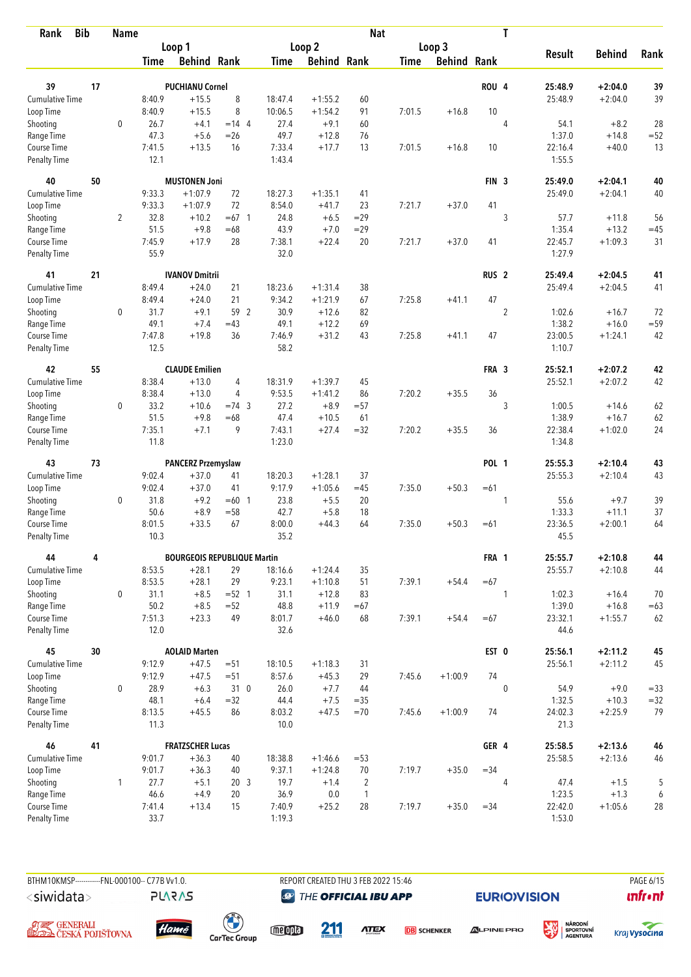| <b>Bib</b><br>Rank          |    | <b>Name</b>    |                |                                    |                 |                |                    | <b>Nat</b>     |             |                    |                  | $\mathbf T$    |                 |               |                  |
|-----------------------------|----|----------------|----------------|------------------------------------|-----------------|----------------|--------------------|----------------|-------------|--------------------|------------------|----------------|-----------------|---------------|------------------|
|                             |    |                |                | Loop 1                             |                 |                | Loop <sub>2</sub>  |                |             | Loop 3             |                  |                |                 |               |                  |
|                             |    |                | <b>Time</b>    | <b>Behind Rank</b>                 |                 | Time           | <b>Behind Rank</b> |                | <b>Time</b> | <b>Behind Rank</b> |                  |                | <b>Result</b>   | <b>Behind</b> | Rank             |
| 39                          | 17 |                |                | <b>PUCHIANU Cornel</b>             |                 |                |                    |                |             |                    | ROU <sub>4</sub> |                | 25:48.9         | $+2:04.0$     | 39               |
| Cumulative Time             |    |                | 8:40.9         | $+15.5$                            | 8               | 18:47.4        | $+1:55.2$          | 60             |             |                    |                  |                | 25:48.9         | $+2:04.0$     | 39               |
| Loop Time                   |    |                | 8:40.9         | $+15.5$                            | 8               | 10:06.5        | $+1:54.2$          | 91             | 7:01.5      | $+16.8$            | 10               |                |                 |               |                  |
| Shooting                    |    | $\mathbf 0$    | 26.7           | $+4.1$                             | $= 14$ 4        | 27.4           | $+9.1$             | 60             |             |                    |                  | 4              | 54.1            | $+8.2$        | 28               |
| Range Time                  |    |                | 47.3           | $+5.6$                             | $=26$           | 49.7           | $+12.8$            | 76             |             |                    |                  |                | 1:37.0          | $+14.8$       | $= 52$           |
| Course Time                 |    |                | 7:41.5         | $+13.5$                            | 16              | 7:33.4         | $+17.7$            | 13             | 7:01.5      | $+16.8$            | 10               |                | 22:16.4         | $+40.0$       | 13               |
| <b>Penalty Time</b>         |    |                | 12.1           |                                    |                 | 1:43.4         |                    |                |             |                    |                  |                | 1:55.5          |               |                  |
| 40                          | 50 |                |                | <b>MUSTONEN Joni</b>               |                 |                |                    |                |             |                    | FIN <sub>3</sub> |                | 25:49.0         | $+2:04.1$     | 40               |
| Cumulative Time             |    |                | 9:33.3         | $+1:07.9$                          | 72              | 18:27.3        | $+1:35.1$          | 41             |             |                    |                  |                | 25:49.0         | $+2:04.1$     | 40               |
| Loop Time                   |    |                | 9:33.3         | $+1:07.9$                          | 72              | 8:54.0         | $+41.7$            | 23             | 7:21.7      | $+37.0$            | 41               |                |                 |               |                  |
| Shooting                    |    | $\overline{2}$ | 32.8           | $+10.2$                            | $=67$ 1         | 24.8           | $+6.5$             | $=29$          |             |                    |                  | 3              | 57.7            | $+11.8$       | 56               |
| Range Time                  |    |                | 51.5           | $+9.8$                             | $=68$           | 43.9           | $+7.0$             | $=29$          |             |                    |                  |                | 1:35.4          | $+13.2$       | $=45$            |
| Course Time                 |    |                | 7:45.9         | $+17.9$                            | 28              | 7:38.1         | $+22.4$            | 20             | 7:21.7      | $+37.0$            | 41               |                | 22:45.7         | $+1:09.3$     | 31               |
| <b>Penalty Time</b>         |    |                | 55.9           |                                    |                 | 32.0           |                    |                |             |                    |                  |                | 1:27.9          |               |                  |
| 41                          | 21 |                |                | <b>IVANOV Dmitrii</b>              |                 |                |                    |                |             |                    | RUS <sub>2</sub> |                | 25:49.4         | $+2:04.5$     | 41               |
| <b>Cumulative Time</b>      |    |                | 8:49.4         | $+24.0$                            | 21              | 18:23.6        | $+1:31.4$          | 38             |             |                    |                  |                | 25:49.4         | $+2:04.5$     | 41               |
| Loop Time                   |    |                | 8:49.4         | $+24.0$                            | 21              | 9:34.2         | $+1:21.9$          | 67             | 7:25.8      | $+41.1$            | 47               |                |                 |               |                  |
| Shooting                    |    | $\mathbf 0$    | 31.7           | $+9.1$                             | 59 2            | 30.9           | $+12.6$            | 82             |             |                    |                  | $\overline{c}$ | 1:02.6          | $+16.7$       | 72               |
| Range Time                  |    |                | 49.1           | $+7.4$                             | $=43$           | 49.1           | $+12.2$            | 69             |             |                    |                  |                | 1:38.2          | $+16.0$       | $= 59$           |
| Course Time                 |    |                | 7:47.8         | $+19.8$                            | 36              | 7:46.9         | $+31.2$            | 43             | 7:25.8      | $+41.1$            | 47               |                | 23:00.5         | $+1:24.1$     | 42               |
| <b>Penalty Time</b>         |    |                | 12.5           |                                    |                 | 58.2           |                    |                |             |                    |                  |                | 1:10.7          |               |                  |
| 42                          | 55 |                |                | <b>CLAUDE Emilien</b>              |                 |                |                    |                |             |                    | FRA 3            |                | 25:52.1         | $+2:07.2$     | 42               |
| Cumulative Time             |    |                | 8:38.4         | $+13.0$                            | 4               | 18:31.9        | $+1:39.7$          | 45             |             |                    |                  |                | 25:52.1         | $+2:07.2$     | 42               |
| Loop Time                   |    |                | 8:38.4         | $+13.0$                            | 4               | 9:53.5         | $+1:41.2$          | 86             | 7:20.2      | $+35.5$            | 36               |                |                 |               |                  |
| Shooting                    |    | 0              | 33.2           | $+10.6$                            | $=74$ 3         | 27.2           | $+8.9$             | $= 57$         |             |                    |                  | 3              | 1:00.5          | $+14.6$       | 62               |
| Range Time                  |    |                | 51.5           | $+9.8$                             | $=68$           | 47.4           | $+10.5$            | 61             |             |                    |                  |                | 1:38.9          | $+16.7$       | 62               |
| Course Time                 |    |                | 7:35.1         | $+7.1$                             | 9               | 7:43.1         | $+27.4$            | $= 32$         | 7:20.2      | $+35.5$            | 36               |                | 22:38.4         | $+1:02.0$     | 24               |
| <b>Penalty Time</b>         |    |                | 11.8           |                                    |                 | 1:23.0         |                    |                |             |                    |                  |                | 1:34.8          |               |                  |
| 43                          | 73 |                |                | <b>PANCERZ Przemyslaw</b>          |                 |                |                    |                |             |                    | <b>POL 1</b>     |                | 25:55.3         | $+2:10.4$     | 43               |
| Cumulative Time             |    |                | 9:02.4         | $+37.0$                            | 41              | 18:20.3        | $+1:28.1$          | 37             |             |                    |                  |                | 25:55.3         | $+2:10.4$     | 43               |
| Loop Time                   |    |                | 9:02.4         | $+37.0$                            | 41              | 9:17.9         | $+1:05.6$          | $=45$          | 7:35.0      | $+50.3$            | $=61$            |                |                 |               |                  |
| Shooting                    |    | 0              | 31.8           | $+9.2$                             | $=60$ 1         | 23.8           | $+5.5$             | 20             |             |                    |                  | 1              | 55.6            | $+9.7$        | 39               |
| Range Time                  |    |                | 50.6           | $+8.9$                             | $= 58$          | 42.7           | $+5.8$             | 18             |             |                    |                  |                | 1:33.3          | $+11.1$       | 37               |
| Course Time                 |    |                | 8:01.5         | $+33.5$                            | 67              | 8:00.0         | $+44.3$            | 64             | 7:35.0      | $+50.3$            | $=61$            |                | 23:36.5         | $+2:00.1$     | 64               |
| <b>Penalty Time</b>         |    |                | 10.3           |                                    |                 | 35.2           |                    |                |             |                    |                  |                | 45.5            |               |                  |
| 44                          | 4  |                |                | <b>BOURGEOIS REPUBLIQUE Martin</b> |                 |                |                    |                |             |                    | FRA 1            |                | 25:55.7         | $+2:10.8$     | 44               |
| <b>Cumulative Time</b>      |    |                | 8:53.5         | $+28.1$                            | 29              | 18:16.6        | $+1:24.4$          | 35             |             |                    |                  |                | 25:55.7         | $+2:10.8$     | 44               |
| Loop Time                   |    |                | 8:53.5         | $+28.1$                            | 29              | 9:23.1         | $+1:10.8$          | 51             | 7:39.1      | $+54.4$            | $=67$            |                |                 |               |                  |
| Shooting                    |    | 0              | 31.1           | $+8.5$                             | $= 52 \quad 1$  | 31.1           | $+12.8$            | 83             |             |                    |                  | 1              | 1:02.3          | $+16.4$       | 70               |
| Range Time                  |    |                | 50.2           | $+8.5$                             | $= 52$          | 48.8           | $+11.9$            | $=67$          |             |                    |                  |                | 1:39.0          | $+16.8$       | $=63$            |
| Course Time<br>Penalty Time |    |                | 7:51.3<br>12.0 | $+23.3$                            | 49              | 8:01.7<br>32.6 | $+46.0$            | 68             | 7:39.1      | $+54.4$            | $=67$            |                | 23:32.1<br>44.6 | $+1:55.7$     | 62               |
| 45                          | 30 |                |                | <b>AOLAID Marten</b>               |                 |                |                    |                |             |                    | EST 0            |                | 25:56.1         | $+2:11.2$     | 45               |
| <b>Cumulative Time</b>      |    |                | 9:12.9         | $+47.5$                            | $= 51$          | 18:10.5        | $+1:18.3$          | 31             |             |                    |                  |                | 25:56.1         | $+2:11.2$     | 45               |
| Loop Time                   |    |                | 9:12.9         | $+47.5$                            | $= 51$          | 8:57.6         | $+45.3$            | 29             | 7:45.6      | $+1:00.9$          | 74               |                |                 |               |                  |
| Shooting                    |    | 0              | 28.9           | $+6.3$                             | 310             | 26.0           | $+7.7$             | 44             |             |                    |                  | $\mathbf 0$    | 54.9            | $+9.0$        | $= 33$           |
| Range Time                  |    |                | 48.1           | $+6.4$                             | $=32$           | 44.4           | $+7.5$             | $= 35$         |             |                    |                  |                | 1:32.5          | $+10.3$       | $= 32$           |
| Course Time                 |    |                | 8:13.5         | $+45.5$                            | 86              | 8:03.2         | $+47.5$            | $=70$          | 7:45.6      | $+1:00.9$          | 74               |                | 24:02.3         | $+2:25.9$     | 79               |
| Penalty Time                |    |                | 11.3           |                                    |                 | 10.0           |                    |                |             |                    |                  |                | 21.3            |               |                  |
| 46                          | 41 |                |                | <b>FRATZSCHER Lucas</b>            |                 |                |                    |                |             |                    | GER 4            |                | 25:58.5         | $+2:13.6$     | 46               |
| <b>Cumulative Time</b>      |    |                | 9:01.7         | $+36.3$                            | 40              | 18:38.8        | $+1:46.6$          | $= 53$         |             |                    |                  |                | 25:58.5         | $+2:13.6$     | 46               |
| Loop Time                   |    |                | 9:01.7         | $+36.3$                            | 40              | 9:37.1         | $+1:24.8$          | 70             | 7:19.7      | $+35.0$            | $= 34$           |                |                 |               |                  |
| Shooting                    |    | 1              | 27.7           | $+5.1$                             | 20 <sub>3</sub> | 19.7           | $+1.4$             | $\overline{2}$ |             |                    |                  | 4              | 47.4            | $+1.5$        | 5                |
| Range Time                  |    |                | 46.6           | $+4.9$                             | 20              | 36.9           | 0.0                | $\overline{1}$ |             |                    |                  |                | 1:23.5          | $+1.3$        | $\boldsymbol{6}$ |
| Course Time                 |    |                | 7:41.4         | $+13.4$                            | 15              | 7:40.9         | $+25.2$            | 28             | 7:19.7      | $+35.0$            | $= 34$           |                | 22:42.0         | $+1:05.6$     | 28               |
| Penalty Time                |    |                | 33.7           |                                    |                 | 1:19.3         |                    |                |             |                    |                  |                | 1:53.0          |               |                  |

BTHM10KMSP-----------FNL-000100-- C77B Vv1.0. REPORT CREATED THU 3 FEB 2022 15:46 PAGE 6/15 <siwidata>

**@** THE OFFICIAL IBU APP

**EURIO)VISION** 

溪

 $\mathbf{u}$ front





**PLARAS** 

 $\begin{pmatrix} 1 \\ 1 \end{pmatrix}$ <br>CarTec Group meona

211

**ATEX DB** SCHENKER



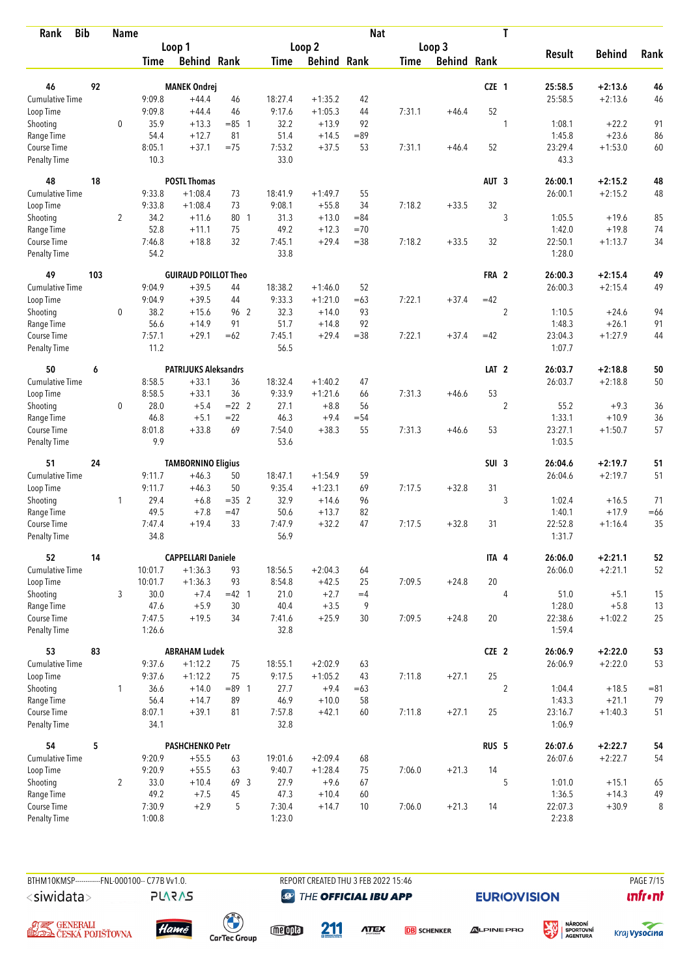| <b>Bib</b><br>Rank          |     | <b>Name</b>    |                |                                   |            |                |                    | <b>Nat</b> |             |                    |                  | T              |                    |                        |          |
|-----------------------------|-----|----------------|----------------|-----------------------------------|------------|----------------|--------------------|------------|-------------|--------------------|------------------|----------------|--------------------|------------------------|----------|
|                             |     |                |                | Loop 1                            |            |                | Loop 2             |            |             | Loop 3             |                  |                |                    |                        |          |
|                             |     |                | Time           | <b>Behind Rank</b>                |            | Time           | <b>Behind Rank</b> |            | <b>Time</b> | <b>Behind Rank</b> |                  |                | <b>Result</b>      | <b>Behind</b>          | Rank     |
| 46                          | 92  |                |                | <b>MANEK Ondrej</b>               |            |                |                    |            |             |                    | CZE 1            |                | 25:58.5            | $+2:13.6$              | 46       |
| <b>Cumulative Time</b>      |     |                | 9:09.8         | $+44.4$                           | 46         | 18:27.4        | $+1:35.2$          | 42         |             |                    |                  |                | 25:58.5            | $+2:13.6$              | 46       |
| Loop Time                   |     |                | 9:09.8         | $+44.4$                           | 46         | 9:17.6         | $+1:05.3$          | 44         | 7:31.1      | $+46.4$            | 52               |                |                    |                        |          |
| Shooting                    |     | $\mathbf 0$    | 35.9           | $+13.3$                           | $= 85$ 1   | 32.2           | $+13.9$            | 92         |             |                    |                  | 1              | 1:08.1             | $+22.2$                | 91       |
| Range Time                  |     |                | 54.4           | $+12.7$                           | 81         | 51.4           | $+14.5$            | $= 89$     |             |                    |                  |                | 1:45.8             | $+23.6$                | 86       |
| Course Time                 |     |                | 8:05.1         | $+37.1$                           | $=75$      | 7:53.2         | $+37.5$            | 53         | 7:31.1      | $+46.4$            | 52               |                | 23:29.4            | $+1:53.0$              | 60       |
| <b>Penalty Time</b>         |     |                | 10.3           |                                   |            | 33.0           |                    |            |             |                    |                  |                | 43.3               |                        |          |
| 48                          | 18  |                |                | <b>POSTL Thomas</b>               |            |                |                    |            |             |                    | AUT <sub>3</sub> |                | 26:00.1            | $+2:15.2$              | 48       |
| Cumulative Time             |     |                | 9:33.8         | $+1:08.4$                         | 73         | 18:41.9        | $+1:49.7$          | 55         |             |                    |                  |                | 26:00.1            | $+2:15.2$              | 48       |
| Loop Time                   |     |                | 9:33.8         | $+1:08.4$                         | 73         | 9:08.1         | $+55.8$            | 34         | 7:18.2      | $+33.5$            | 32               |                |                    |                        |          |
| Shooting                    |     | $\overline{2}$ | 34.2           | $+11.6$                           | 80 1       | 31.3           | $+13.0$            | $= 84$     |             |                    |                  | 3              | 1:05.5             | $+19.6$                | 85       |
| Range Time                  |     |                | 52.8           | $+11.1$                           | 75         | 49.2           | $+12.3$            | $=70$      |             |                    |                  |                | 1:42.0             | $+19.8$                | 74       |
| Course Time                 |     |                | 7:46.8         | $+18.8$                           | 32         | 7:45.1         | $+29.4$            | $= 38$     | 7:18.2      | $+33.5$            | 32               |                | 22:50.1            | $+1:13.7$              | 34       |
| <b>Penalty Time</b>         |     |                | 54.2           |                                   |            | 33.8           |                    |            |             |                    |                  |                | 1:28.0             |                        |          |
| 49                          | 103 |                |                | <b>GUIRAUD POILLOT Theo</b>       |            |                |                    |            |             |                    | FRA 2            |                | 26:00.3            | $+2:15.4$              | 49       |
| Cumulative Time             |     |                | 9:04.9         | $+39.5$                           | 44         | 18:38.2        | $+1:46.0$          | 52         |             |                    |                  |                | 26:00.3            | $+2:15.4$              | 49       |
| Loop Time                   |     |                | 9:04.9         | $+39.5$                           | 44         | 9:33.3         | $+1:21.0$          | $=63$      | 7:22.1      | $+37.4$            | $=42$            |                |                    |                        |          |
| Shooting                    |     | $\mathbf 0$    | 38.2<br>56.6   | $+15.6$                           | 96 2<br>91 | 32.3<br>51.7   | $+14.0$            | 93<br>92   |             |                    |                  | $\overline{c}$ | 1:10.5             | $+24.6$<br>$+26.1$     | 94       |
| Range Time<br>Course Time   |     |                | 7:57.1         | $+14.9$<br>$+29.1$                | $=62$      | 7:45.1         | $+14.8$<br>$+29.4$ | $= 38$     | 7:22.1      | $+37.4$            | $=42$            |                | 1:48.3<br>23:04.3  | $+1:27.9$              | 91<br>44 |
| <b>Penalty Time</b>         |     |                | 11.2           |                                   |            | 56.5           |                    |            |             |                    |                  |                | 1:07.7             |                        |          |
| 50                          | 6   |                |                | <b>PATRIJUKS Aleksandrs</b>       |            |                |                    |            |             |                    | LAT <sub>2</sub> |                | 26:03.7            | $+2:18.8$              | 50       |
| Cumulative Time             |     |                | 8:58.5         | $+33.1$                           | 36         | 18:32.4        | $+1:40.2$          | 47         |             |                    |                  |                | 26:03.7            | $+2:18.8$              | 50       |
| Loop Time                   |     |                | 8:58.5         | $+33.1$                           | 36         | 9:33.9         | $+1:21.6$          | 66         | 7:31.3      | $+46.6$            | 53               |                |                    |                        |          |
| Shooting                    |     | 0              | 28.0           | $+5.4$                            | $= 22$ 2   | 27.1           | $+8.8$             | 56         |             |                    |                  | $\overline{2}$ | 55.2               | $+9.3$                 | 36       |
| Range Time                  |     |                | 46.8           | $+5.1$                            | $=22$      | 46.3           | $+9.4$             | $= 54$     |             |                    |                  |                | 1:33.1             | $+10.9$                | 36       |
| Course Time                 |     |                | 8:01.8         | $+33.8$                           | 69         | 7:54.0         | $+38.3$            | 55         | 7:31.3      | $+46.6$            | 53               |                | 23:27.1            | $+1:50.7$              | 57       |
| <b>Penalty Time</b>         |     |                | 9.9            |                                   |            | 53.6           |                    |            |             |                    |                  |                | 1:03.5             |                        |          |
| 51                          | 24  |                |                | <b>TAMBORNINO Eligius</b>         |            |                |                    |            |             |                    | SUI <sub>3</sub> |                | 26:04.6            | $+2:19.7$              | 51       |
| <b>Cumulative Time</b>      |     |                | 9:11.7         | $+46.3$                           | 50         | 18:47.1        | $+1:54.9$          | 59         |             |                    |                  |                | 26:04.6            | $+2:19.7$              | 51       |
| Loop Time                   |     |                | 9:11.7         | $+46.3$                           | 50         | 9:35.4         | $+1:23.1$          | 69         | 7:17.5      | $+32.8$            | 31               |                |                    |                        |          |
| Shooting                    |     | 1              | 29.4           | $+6.8$                            | $=35$ 2    | 32.9           | $+14.6$            | 96         |             |                    |                  | 3              | 1:02.4             | $+16.5$                | 71       |
| Range Time                  |     |                | 49.5           | $+7.8$                            | $=47$      | 50.6           | $+13.7$            | 82         |             |                    |                  |                | 1:40.1             | $+17.9$                | $=66$    |
| Course Time                 |     |                | 7:47.4         | $+19.4$                           | 33         | 7:47.9         | $+32.2$            | 47         | 7:17.5      | $+32.8$            | 31               |                | 22:52.8            | $+1:16.4$              | 35       |
| <b>Penalty Time</b>         |     |                | 34.8           |                                   |            | 56.9           |                    |            |             |                    |                  |                | 1:31.7             |                        |          |
| 52                          | 14  |                |                | <b>CAPPELLARI Daniele</b>         |            |                |                    |            |             |                    | ITA 4            |                | 26:06.0            | $+2:21.1$              | 52       |
| Cumulative Time             |     |                | 10:01.7        | $+1:36.3$                         | 93         | 18:56.5        | $+2:04.3$          | 64         |             |                    |                  |                | 26:06.0            | $+2:21.1$              | 52       |
| Loop Time                   |     |                | 10:01.7        | $+1:36.3$                         | 93         | 8:54.8         | $+42.5$            | 25         | 7:09.5      | $+24.8$            | 20               |                |                    |                        |          |
| Shooting                    |     | 3              | 30.0           | $+7.4$<br>$+5.9$                  | $=42$ 1    | 21.0<br>40.4   | $+2.7$             | $=4$<br>9  |             |                    |                  | $\overline{4}$ | 51.0               | $+5.1$<br>$+5.8$       | 15<br>13 |
| Range Time<br>Course Time   |     |                | 47.6<br>7:47.5 | $+19.5$                           | 30<br>34   | 7:41.6         | $+3.5$<br>$+25.9$  | 30         | 7:09.5      | $+24.8$            | 20               |                | 1:28.0<br>22:38.6  | $+1:02.2$              | 25       |
| Penalty Time                |     |                | 1:26.6         |                                   |            | 32.8           |                    |            |             |                    |                  |                | 1:59.4             |                        |          |
| 53                          | 83  |                |                | <b>ABRAHAM Ludek</b>              |            |                |                    |            |             |                    | CZE 2            |                | 26:06.9            | $+2:22.0$              | 53       |
| Cumulative Time             |     |                | 9:37.6         | $+1:12.2$                         | 75         | 18:55.1        | $+2:02.9$          | 63         |             |                    |                  |                | 26:06.9            | $+2:22.0$              | 53       |
| Loop Time                   |     |                | 9:37.6         | $+1:12.2$                         | 75         | 9:17.5         | $+1:05.2$          | 43         | 7:11.8      | $+27.1$            | 25               |                |                    |                        |          |
| Shooting                    |     | $\mathbf{1}$   | 36.6           | $+14.0$                           | $= 89$ 1   | 27.7           | $+9.4$             | $=63$      |             |                    |                  | $\overline{2}$ | 1:04.4             | $+18.5$                | $= 81$   |
| Range Time                  |     |                | 56.4           | $+14.7$                           | 89         | 46.9           | $+10.0$            | 58         |             |                    |                  |                | 1:43.3             | $+21.1$                | 79       |
| Course Time<br>Penalty Time |     |                | 8:07.1<br>34.1 | $+39.1$                           | 81         | 7:57.8<br>32.8 | $+42.1$            | 60         | 7:11.8      | $+27.1$            | 25               |                | 23:16.7<br>1:06.9  | $+1:40.3$              | 51       |
|                             |     |                |                |                                   |            |                |                    |            |             |                    |                  |                |                    |                        |          |
| 54<br>Cumulative Time       | 5   |                | 9:20.9         | <b>PASHCHENKO Petr</b><br>$+55.5$ | 63         | 19:01.6        | $+2:09.4$          | 68         |             |                    | RUS <sub>5</sub> |                | 26:07.6<br>26:07.6 | $+2:22.7$<br>$+2:22.7$ | 54<br>54 |
| Loop Time                   |     |                | 9:20.9         | $+55.5$                           | 63         | 9:40.7         | $+1:28.4$          | 75         | 7:06.0      | $+21.3$            | 14               |                |                    |                        |          |
| Shooting                    |     | $\overline{2}$ | 33.0           | $+10.4$                           | 69 3       | 27.9           | $+9.6$             | 67         |             |                    |                  | 5              | 1:01.0             | $+15.1$                | 65       |
| Range Time                  |     |                | 49.2           | $+7.5$                            | 45         | 47.3           | $+10.4$            | 60         |             |                    |                  |                | 1:36.5             | $+14.3$                | 49       |
| Course Time                 |     |                | 7:30.9         | $+2.9$                            | 5          | 7:30.4         | $+14.7$            | 10         | 7:06.0      | $+21.3$            | 14               |                | 22:07.3            | $+30.9$                | 8        |
| Penalty Time                |     |                | 1:00.8         |                                   |            | 1:23.0         |                    |            |             |                    |                  |                | 2:23.8             |                        |          |

BTHM10KMSP-----------FNL-000100-- C77B Vv1.0. REPORT CREATED THU 3 FEB 2022 15:46 PAGE 7/15 <siwidata>

**@** THE OFFICIAL IBU APP

211

**EURIO)VISION** 

溪

 $\mathbf{u}$ front





**PLARAS** 

 $\begin{pmatrix} 1 \\ 1 \end{pmatrix}$ <br>CarTec Group

meona

**ATEX** 

**DB** SCHENKER



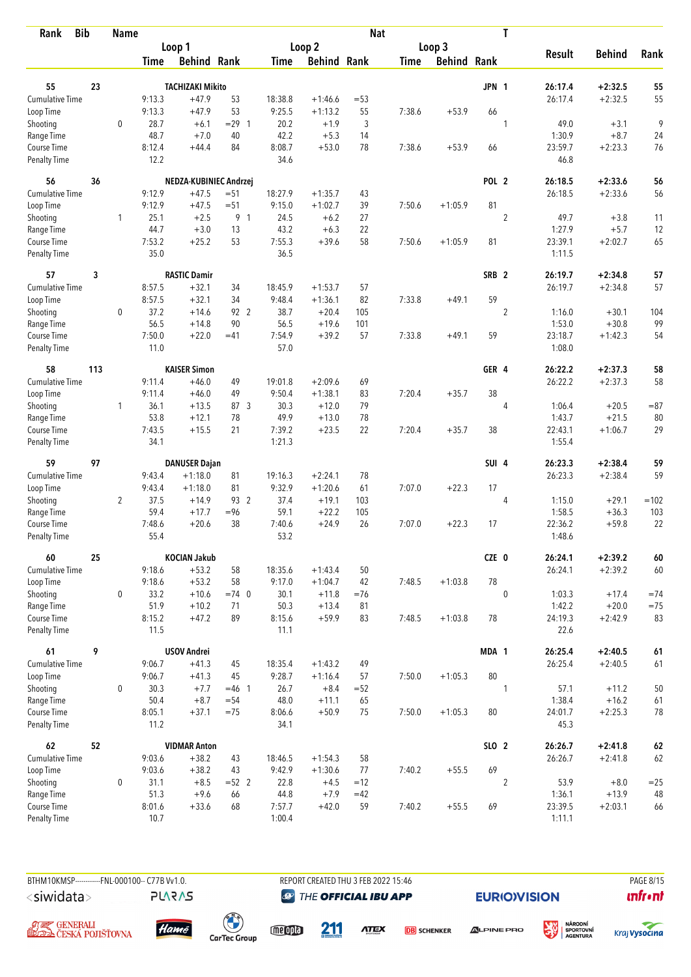| <b>Bib</b><br>Rank                 |     | <b>Name</b>    |                |                               |                    |                |                     | <b>Nat</b> |             |                    |                  | T              |                 |                        |              |
|------------------------------------|-----|----------------|----------------|-------------------------------|--------------------|----------------|---------------------|------------|-------------|--------------------|------------------|----------------|-----------------|------------------------|--------------|
|                                    |     |                |                | Loop 1                        |                    |                | Loop 2              |            |             | Loop 3             |                  |                |                 |                        |              |
|                                    |     |                | <b>Time</b>    | <b>Behind Rank</b>            |                    | <b>Time</b>    | <b>Behind Rank</b>  |            | <b>Time</b> | <b>Behind Rank</b> |                  |                | <b>Result</b>   | <b>Behind</b>          | Rank         |
|                                    |     |                |                |                               |                    |                |                     |            |             |                    |                  |                |                 |                        |              |
| 55<br>Cumulative Time              | 23  |                |                | <b>TACHIZAKI Mikito</b>       |                    |                |                     |            |             |                    | <b>JPN 1</b>     |                | 26:17.4         | $+2:32.5$              | 55           |
|                                    |     |                | 9:13.3         | $+47.9$                       | 53                 | 18:38.8        | $+1:46.6$           | $=53$      |             |                    |                  |                | 26:17.4         | $+2:32.5$              | 55           |
| Loop Time                          |     | 0              | 9:13.3<br>28.7 | $+47.9$                       | 53<br>$= 29$ 1     | 9:25.5<br>20.2 | $+1:13.2$<br>$+1.9$ | 55         | 7:38.6      | $+53.9$            | 66               |                | 49.0            | $+3.1$                 | 9            |
| Shooting                           |     |                | 48.7           | $+6.1$<br>$+7.0$              | 40                 | 42.2           | $+5.3$              | 3<br>14    |             |                    |                  | 1              | 1:30.9          | $+8.7$                 | 24           |
| Range Time<br>Course Time          |     |                | 8:12.4         | $+44.4$                       | 84                 | 8:08.7         | $+53.0$             | 78         | 7:38.6      | $+53.9$            | 66               |                | 23:59.7         | $+2:23.3$              | 76           |
| <b>Penalty Time</b>                |     |                | 12.2           |                               |                    | 34.6           |                     |            |             |                    |                  |                | 46.8            |                        |              |
| 56                                 | 36  |                |                | NEDZA-KUBINIEC Andrzej        |                    |                |                     |            |             |                    | POL <sub>2</sub> |                | 26:18.5         | $+2:33.6$              | 56           |
| <b>Cumulative Time</b>             |     |                | 9:12.9         | $+47.5$                       | $= 51$             | 18:27.9        | $+1:35.7$           | 43         |             |                    |                  |                | 26:18.5         | $+2:33.6$              | 56           |
| Loop Time                          |     |                | 9:12.9         | $+47.5$                       | $= 51$             | 9:15.0         | $+1:02.7$           | 39         | 7:50.6      | $+1:05.9$          | 81               |                |                 |                        |              |
| Shooting                           |     | 1              | 25.1           | $+2.5$                        | 9 1                | 24.5           | $+6.2$              | 27         |             |                    |                  | $\overline{2}$ | 49.7            | $+3.8$                 | 11           |
| Range Time                         |     |                | 44.7           | $+3.0$                        | 13                 | 43.2           | $+6.3$              | 22         |             |                    |                  |                | 1:27.9          | $+5.7$                 | 12           |
| Course Time                        |     |                | 7:53.2         | $+25.2$                       | 53                 | 7:55.3         | $+39.6$             | 58         | 7:50.6      | $+1:05.9$          | 81               |                | 23:39.1         | $+2:02.7$              | 65           |
| Penalty Time                       |     |                | 35.0           |                               |                    | 36.5           |                     |            |             |                    |                  |                | 1:11.5          |                        |              |
| 57                                 | 3   |                |                | <b>RASTIC Damir</b>           |                    |                |                     |            |             |                    | SRB <sub>2</sub> |                | 26:19.7         | $+2:34.8$              | 57           |
| <b>Cumulative Time</b>             |     |                | 8:57.5         | $+32.1$                       | 34                 | 18:45.9        | $+1:53.7$           | 57         |             |                    |                  |                | 26:19.7         | $+2:34.8$              | 57           |
| Loop Time                          |     |                | 8:57.5         | $+32.1$                       | 34                 | 9:48.4         | $+1:36.1$           | 82         | 7:33.8      | $+49.1$            | 59               |                |                 |                        |              |
| Shooting                           |     | 0              | 37.2           | $+14.6$                       | 92 2               | 38.7           | $+20.4$             | 105        |             |                    |                  | $\overline{c}$ | 1:16.0          | $+30.1$                | 104          |
| Range Time                         |     |                | 56.5           | $+14.8$                       | 90                 | 56.5           | $+19.6$             | 101        |             |                    |                  |                | 1:53.0          | $+30.8$                | 99           |
| Course Time                        |     |                | 7:50.0         | $+22.0$                       | $=41$              | 7:54.9         | $+39.2$             | 57         | 7:33.8      | $+49.1$            | 59               |                | 23:18.7         | $+1:42.3$              | 54           |
| <b>Penalty Time</b>                |     |                | 11.0           |                               |                    | 57.0           |                     |            |             |                    |                  |                | 1:08.0          |                        |              |
| 58                                 | 113 |                |                | <b>KAISER Simon</b>           |                    |                |                     |            |             |                    | GER 4            |                | 26:22.2         | $+2:37.3$              | 58           |
| <b>Cumulative Time</b>             |     |                | 9:11.4         | $+46.0$                       | 49                 | 19:01.8        | $+2:09.6$           | 69         |             |                    |                  |                | 26:22.2         | $+2:37.3$              | 58           |
| Loop Time                          |     |                | 9:11.4         | $+46.0$                       | 49                 | 9:50.4         | $+1:38.1$           | 83         | 7:20.4      | $+35.7$            | 38               |                |                 |                        |              |
| Shooting                           |     | 1              | 36.1           | $+13.5$                       | 87 3               | 30.3           | $+12.0$             | 79         |             |                    |                  | 4              | 1:06.4          | $+20.5$                | $= 87$       |
| Range Time                         |     |                | 53.8           | $+12.1$                       | 78                 | 49.9           | $+13.0$             | 78         |             |                    |                  |                | 1:43.7          | $+21.5$                | 80           |
| Course Time                        |     |                | 7:43.5         | $+15.5$                       | 21                 | 7:39.2         | $+23.5$             | 22         | 7:20.4      | $+35.7$            | 38               |                | 22:43.1         | $+1:06.7$              | 29           |
| <b>Penalty Time</b>                |     |                | 34.1           |                               |                    | 1:21.3         |                     |            |             |                    |                  |                | 1:55.4          |                        |              |
| 59                                 | 97  |                |                | <b>DANUSER Dajan</b>          |                    |                |                     |            |             |                    | SUI <sub>4</sub> |                | 26:23.3         | $+2:38.4$              | 59           |
| <b>Cumulative Time</b>             |     |                | 9:43.4         | $+1:18.0$                     | 81                 | 19:16.3        | $+2:24.1$           | 78         |             |                    |                  |                | 26:23.3         | $+2:38.4$              | 59           |
| Loop Time                          |     |                | 9:43.4         | $+1:18.0$                     | 81                 | 9:32.9         | $+1:20.6$           | 61         | 7:07.0      | $+22.3$            | 17               |                |                 |                        |              |
| Shooting                           |     | $\overline{2}$ | 37.5           | $+14.9$                       | 93 2               | 37.4           | $+19.1$             | 103        |             |                    |                  | 4              | 1:15.0          | $+29.1$                | $=102$       |
| Range Time                         |     |                | 59.4           | $+17.7$                       | $= 96$             | 59.1           | $+22.2$             | 105        |             |                    |                  |                | 1:58.5          | $+36.3$                | 103          |
| Course Time                        |     |                | 7:48.6         | $+20.6$                       | 38                 | 7:40.6         | $+24.9$             | 26         | 7:07.0      | $+22.3$            | 17               |                | 22:36.2         | $+59.8$                | 22           |
| <b>Penalty Time</b>                |     |                | 55.4           |                               |                    | 53.2           |                     |            |             |                    |                  |                | 1:48.6          |                        |              |
| 60                                 | 25  |                |                | <b>KOCIAN Jakub</b>           |                    |                |                     |            |             |                    | CZE 0            |                | 26:24.1         | $+2:39.2$              | $\pmb{60}$   |
| <b>Cumulative Time</b>             |     |                | 9:18.6         | $+53.2$                       | 58                 | 18:35.6        | $+1:43.4$           | 50         |             |                    |                  |                | 26:24.1         | $+2:39.2$              | 60           |
| Loop Time                          |     |                | 9:18.6         | $+53.2$                       | 58                 | 9:17.0         | $+1:04.7$           | 42         | 7:48.5      | $+1:03.8$          | 78               |                |                 |                        |              |
| Shooting                           |     | $\mathbf 0$    | 33.2           | $+10.6$                       | $=74$ 0            | 30.1           | $+11.8$             | $=76$      |             |                    |                  | $\pmb{0}$      | 1:03.3          | $+17.4$                | $=74$        |
| Range Time                         |     |                | 51.9           | $+10.2$                       | 71                 | 50.3           | $+13.4$             | 81         |             |                    |                  |                | 1:42.2          | $+20.0$                | $= 75$       |
| Course Time<br><b>Penalty Time</b> |     |                | 8:15.2<br>11.5 | $+47.2$                       | 89                 | 8:15.6<br>11.1 | $+59.9$             | 83         | 7:48.5      | $+1:03.8$          | 78               |                | 24:19.3<br>22.6 | $+2:42.9$              | 83           |
|                                    | 9   |                |                |                               |                    |                |                     |            |             |                    |                  |                | 26:25.4         |                        |              |
| 61<br><b>Cumulative Time</b>       |     |                | 9:06.7         | <b>USOV Andrei</b><br>$+41.3$ | 45                 | 18:35.4        | $+1:43.2$           | 49         |             |                    | MDA 1            |                | 26:25.4         | $+2:40.5$<br>$+2:40.5$ | $61\,$<br>61 |
| Loop Time                          |     |                | 9:06.7         | $+41.3$                       | 45                 | 9:28.7         | $+1:16.4$           | 57         | 7:50.0      | $+1:05.3$          | 80               |                |                 |                        |              |
|                                    |     | $\mathbf 0$    | 30.3           | $+7.7$                        |                    | 26.7           | $+8.4$              | $=52$      |             |                    |                  |                |                 |                        |              |
| Shooting<br>Range Time             |     |                | 50.4           | $+8.7$                        | $= 46$ 1<br>$= 54$ | 48.0           | $+11.1$             | 65         |             |                    |                  | 1              | 57.1<br>1:38.4  | $+11.2$<br>$+16.2$     | 50           |
| Course Time                        |     |                | 8:05.1         | $+37.1$                       | $=75$              | 8:06.6         | $+50.9$             | 75         | 7:50.0      | $+1:05.3$          | 80               |                | 24:01.7         | $+2:25.3$              | 61<br>$78\,$ |
| <b>Penalty Time</b>                |     |                | 11.2           |                               |                    | 34.1           |                     |            |             |                    |                  |                | 45.3            |                        |              |
| 62                                 | 52  |                |                | <b>VIDMAR Anton</b>           |                    |                |                     |            |             |                    | SLO 2            |                | 26:26.7         | $+2:41.8$              | 62           |
| <b>Cumulative Time</b>             |     |                | 9:03.6         | $+38.2$                       | 43                 | 18:46.5        | $+1:54.3$           | 58         |             |                    |                  |                | 26:26.7         | $+2:41.8$              | 62           |
| Loop Time                          |     |                | 9:03.6         | $+38.2$                       | 43                 | 9:42.9         | $+1:30.6$           | 77         | 7:40.2      | $+55.5$            | 69               |                |                 |                        |              |
| Shooting                           |     | $\mathbf 0$    | 31.1           | $+8.5$                        | $=52$ 2            | 22.8           | $+4.5$              | $=12$      |             |                    |                  | $\overline{2}$ | 53.9            | $+8.0$                 | $=25$        |
| Range Time                         |     |                | 51.3           | $+9.6$                        | 66                 | 44.8           | $+7.9$              | $=42$      |             |                    |                  |                | 1:36.1          | $+13.9$                | 48           |
| Course Time                        |     |                | 8:01.6         | $+33.6$                       | 68                 | 7:57.7         | $+42.0$             | 59         | 7:40.2      | $+55.5$            | 69               |                | 23:39.5         | $+2:03.1$              | 66           |
| <b>Penalty Time</b>                |     |                | 10.7           |                               |                    | 1:00.4         |                     |            |             |                    |                  |                | 1:11.1          |                        |              |



A <del>și C</del>enerali<br>**Ceská polišťovna** 

**PLARAS** 

**@** THE OFFICIAL IBU APP

**EURIO)VISION** 



meona



**ATEX DB** SCHENKER



Kraj **Vysocina** 

 $\mathbf{u}$ front



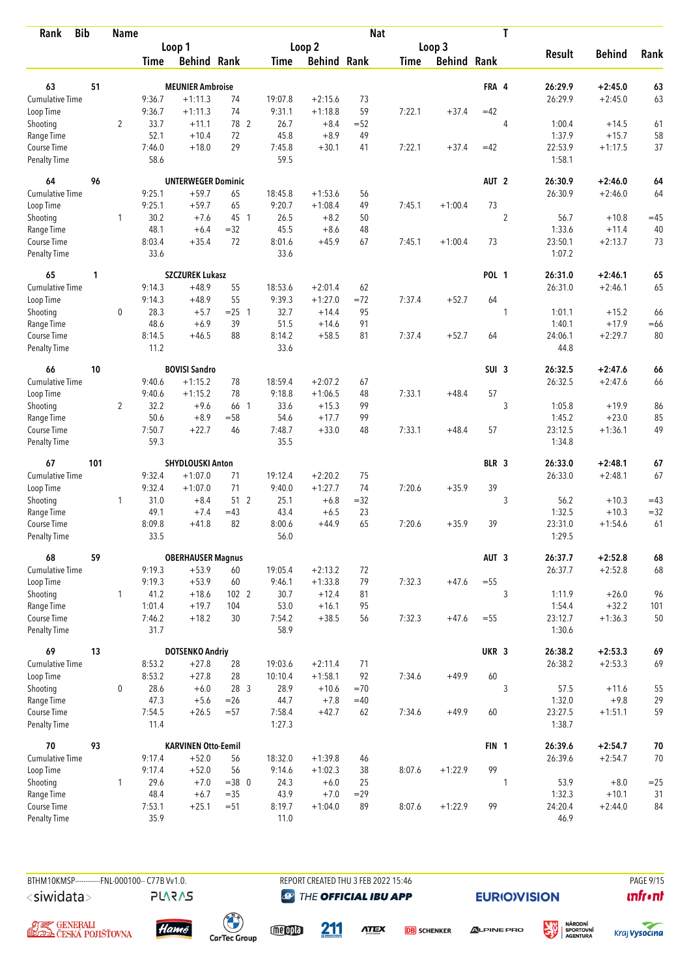| <b>Bib</b><br>Rank          |     | <b>Name</b>    |                |                            |          |                |                    | <b>Nat</b> |             |                    |                  | T              |                   |               |        |
|-----------------------------|-----|----------------|----------------|----------------------------|----------|----------------|--------------------|------------|-------------|--------------------|------------------|----------------|-------------------|---------------|--------|
|                             |     |                |                | Loop 1                     |          |                | Loop <sub>2</sub>  |            |             | Loop 3             |                  |                |                   |               |        |
|                             |     |                | <b>Time</b>    | <b>Behind Rank</b>         |          | Time           | <b>Behind Rank</b> |            | <b>Time</b> | <b>Behind Rank</b> |                  |                | <b>Result</b>     | <b>Behind</b> | Rank   |
| 63                          | 51  |                |                | <b>MEUNIER Ambroise</b>    |          |                |                    |            |             |                    | FRA 4            |                | 26:29.9           | $+2:45.0$     | 63     |
| Cumulative Time             |     |                | 9:36.7         | $+1:11.3$                  | 74       | 19:07.8        | $+2:15.6$          | 73         |             |                    |                  |                | 26:29.9           | $+2:45.0$     | 63     |
| Loop Time                   |     |                | 9:36.7         | $+1:11.3$                  | 74       | 9:31.1         | $+1:18.8$          | 59         | 7:22.1      | $+37.4$            | $=42$            |                |                   |               |        |
| Shooting                    |     | $\overline{2}$ | 33.7           | $+11.1$                    | 78 2     | 26.7           | $+8.4$             | $=52$      |             |                    |                  | 4              | 1:00.4            | $+14.5$       | 61     |
| Range Time                  |     |                | 52.1           | $+10.4$                    | 72       | 45.8           | $+8.9$             | 49         |             |                    |                  |                | 1:37.9            | $+15.7$       | 58     |
| Course Time                 |     |                | 7:46.0         | $+18.0$                    | 29       | 7:45.8         | $+30.1$            | 41         | 7:22.1      | $+37.4$            | $=42$            |                | 22:53.9           | $+1:17.5$     | 37     |
| <b>Penalty Time</b>         |     |                | 58.6           |                            |          | 59.5           |                    |            |             |                    |                  |                | 1:58.1            |               |        |
| 64                          | 96  |                |                | <b>UNTERWEGER Dominic</b>  |          |                |                    |            |             |                    | AUT <sub>2</sub> |                | 26:30.9           | $+2:46.0$     | 64     |
| Cumulative Time             |     |                | 9:25.1         | $+59.7$                    | 65       | 18:45.8        | $+1:53.6$          | 56         |             |                    |                  |                | 26:30.9           | $+2:46.0$     | 64     |
| Loop Time                   |     |                | 9:25.1         | $+59.7$                    | 65       | 9:20.7         | $+1:08.4$          | 49         | 7:45.1      | $+1:00.4$          | 73               |                |                   |               |        |
| Shooting                    |     | 1              | 30.2           | $+7.6$                     | 45 1     | 26.5           | $+8.2$             | 50         |             |                    |                  | $\overline{2}$ | 56.7              | $+10.8$       | $=45$  |
| Range Time                  |     |                | 48.1           | $+6.4$                     | $=32$    | 45.5           | $+8.6$             | 48         |             |                    |                  |                | 1:33.6            | $+11.4$       | 40     |
| Course Time                 |     |                | 8:03.4         | $+35.4$                    | 72       | 8:01.6         | $+45.9$            | 67         | 7:45.1      | $+1:00.4$          | 73               |                | 23:50.1           | $+2:13.7$     | 73     |
| <b>Penalty Time</b>         |     |                | 33.6           |                            |          | 33.6           |                    |            |             |                    |                  |                | 1:07.2            |               |        |
| 65                          | 1   |                |                | <b>SZCZUREK Lukasz</b>     |          |                |                    |            |             |                    | <b>POL 1</b>     |                | 26:31.0           | $+2:46.1$     | 65     |
| Cumulative Time             |     |                | 9:14.3         | $+48.9$                    | 55       | 18:53.6        | $+2:01.4$          | 62         |             |                    |                  |                | 26:31.0           | $+2:46.1$     | 65     |
| Loop Time                   |     |                | 9:14.3         | $+48.9$                    | 55       | 9:39.3         | $+1:27.0$          | $=72$      | 7:37.4      | $+52.7$            | 64               |                |                   |               |        |
| Shooting                    |     | $\mathbf 0$    | 28.3           | $+5.7$                     | $= 25$ 1 | 32.7           | $+14.4$            | 95         |             |                    |                  | 1              | 1:01.1            | $+15.2$       | 66     |
| Range Time                  |     |                | 48.6           | $+6.9$                     | 39       | 51.5           | $+14.6$            | 91         |             |                    |                  |                | 1:40.1            | $+17.9$       | $=66$  |
| Course Time                 |     |                | 8:14.5         | $+46.5$                    | 88       | 8:14.2         | $+58.5$            | 81         | 7:37.4      | $+52.7$            | 64               |                | 24:06.1           | $+2:29.7$     | 80     |
| <b>Penalty Time</b>         |     |                | 11.2           |                            |          | 33.6           |                    |            |             |                    |                  |                | 44.8              |               |        |
| 66                          | 10  |                |                | <b>BOVISI Sandro</b>       |          |                |                    |            |             |                    | SUI <sub>3</sub> |                | 26:32.5           | $+2:47.6$     | 66     |
| Cumulative Time             |     |                | 9:40.6         | $+1:15.2$                  | 78       | 18:59.4        | $+2:07.2$          | 67         |             |                    |                  |                | 26:32.5           | $+2:47.6$     | 66     |
| Loop Time                   |     |                | 9:40.6         | $+1:15.2$                  | 78       | 9:18.8         | $+1:06.5$          | 48         | 7:33.1      | $+48.4$            | 57               |                |                   |               |        |
| Shooting                    |     | $\overline{2}$ | 32.2           | $+9.6$                     | 66 1     | 33.6           | $+15.3$            | 99         |             |                    |                  | 3              | 1:05.8            | $+19.9$       | 86     |
| Range Time                  |     |                | 50.6           | $+8.9$                     | $=58$    | 54.6           | $+17.7$            | 99         |             |                    |                  |                | 1:45.2            | $+23.0$       | 85     |
| Course Time                 |     |                | 7:50.7         | $+22.7$                    | 46       | 7:48.7         | $+33.0$            | 48         | 7:33.1      | $+48.4$            | 57               |                | 23:12.5           | $+1:36.1$     | 49     |
| <b>Penalty Time</b>         |     |                | 59.3           |                            |          | 35.5           |                    |            |             |                    |                  |                | 1:34.8            |               |        |
| 67                          | 101 |                |                | SHYDLOUSKI Anton           |          |                |                    |            |             |                    | BLR 3            |                | 26:33.0           | $+2:48.1$     | 67     |
| <b>Cumulative Time</b>      |     |                | 9:32.4         | $+1:07.0$                  | 71       | 19:12.4        | $+2:20.2$          | 75         |             |                    |                  |                | 26:33.0           | $+2:48.1$     | 67     |
| Loop Time                   |     |                | 9:32.4         | $+1:07.0$                  | 71       | 9:40.0         | $+1:27.7$          | 74         | 7:20.6      | $+35.9$            | 39               |                |                   |               |        |
| Shooting                    |     | $\mathbf{1}$   | 31.0           | $+8.4$                     | 51 2     | 25.1           | $+6.8$             | $=32$      |             |                    |                  | 3              | 56.2              | $+10.3$       | $=43$  |
| Range Time                  |     |                | 49.1           | $+7.4$                     | $=43$    | 43.4           | $+6.5$             | 23         |             |                    |                  |                | 1:32.5            | $+10.3$       | $= 32$ |
| Course Time                 |     |                | 8:09.8         | $+41.8$                    | 82       | 8:00.6         | $+44.9$            | 65         | 7:20.6      | $+35.9$            | 39               |                | 23:31.0           | $+1:54.6$     | 61     |
| <b>Penalty Time</b>         |     |                | 33.5           |                            |          | 56.0           |                    |            |             |                    |                  |                | 1:29.5            |               |        |
| 68                          | 59  |                |                | <b>OBERHAUSER Magnus</b>   |          |                |                    |            |             |                    | AUT <sub>3</sub> |                | 26:37.7           | $+2:52.8$     | 68     |
| <b>Cumulative Time</b>      |     |                | 9:19.3         | $+53.9$                    | 60       | 19:05.4        | $+2:13.2$          | 72         |             |                    |                  |                | 26:37.7           | $+2:52.8$     | 68     |
| Loop Time                   |     |                | 9:19.3         | $+53.9$                    | 60       | 9:46.1         | $+1:33.8$          | 79         | 7:32.3      | $+47.6$            | $=55$            |                |                   |               |        |
| Shooting                    |     | $\mathbf{1}$   | 41.2           | $+18.6$                    | 1022     | 30.7           | $+12.4$            | 81         |             |                    |                  | 3              | 1:11.9            | $+26.0$       | 96     |
| Range Time                  |     |                | 1:01.4         | $+19.7$                    | 104      | 53.0           | $+16.1$            | 95         |             |                    |                  |                | 1:54.4            | $+32.2$       | 101    |
| Course Time<br>Penalty Time |     |                | 7:46.2<br>31.7 | $+18.2$                    | 30       | 7:54.2<br>58.9 | $+38.5$            | 56         | 7:32.3      | $+47.6$            | $=55$            |                | 23:12.7<br>1:30.6 | $+1:36.3$     | 50     |
| 69                          | 13  |                |                | <b>DOTSENKO Andriy</b>     |          |                |                    |            |             |                    | UKR 3            |                | 26:38.2           | $+2:53.3$     | 69     |
| <b>Cumulative Time</b>      |     |                | 8:53.2         | $+27.8$                    | 28       | 19:03.6        | $+2:11.4$          | 71         |             |                    |                  |                | 26:38.2           | $+2:53.3$     | 69     |
| Loop Time                   |     |                | 8:53.2         | $+27.8$                    | 28       | 10:10.4        | $+1:58.1$          | 92         | 7:34.6      | $+49.9$            | 60               |                |                   |               |        |
| Shooting                    |     | 0              | 28.6           | $+6.0$                     | 28 3     | 28.9           | $+10.6$            | $=70$      |             |                    |                  | 3              | 57.5              | $+11.6$       | 55     |
| Range Time                  |     |                | 47.3           | $+5.6$                     | $=26$    | 44.7           | $+7.8$             | $=40$      |             |                    |                  |                | 1:32.0            | $+9.8$        | 29     |
| Course Time                 |     |                | 7:54.5         | $+26.5$                    | $= 57$   | 7:58.4         | $+42.7$            | 62         | 7:34.6      | $+49.9$            | 60               |                | 23:27.5           | $+1:51.1$     | 59     |
| Penalty Time                |     |                | 11.4           |                            |          | 1:27.3         |                    |            |             |                    |                  |                | 1:38.7            |               |        |
| 70                          | 93  |                |                | <b>KARVINEN Otto-Eemil</b> |          |                |                    |            |             |                    | FIN <sub>1</sub> |                | 26:39.6           | $+2:54.7$     | $70\,$ |
| <b>Cumulative Time</b>      |     |                | 9:17.4         | $+52.0$                    | 56       | 18:32.0        | $+1:39.8$          | 46         |             |                    |                  |                | 26:39.6           | $+2:54.7$     | 70     |
| Loop Time                   |     |                | 9:17.4         | $+52.0$                    | 56       | 9:14.6         | $+1:02.3$          | 38         | 8:07.6      | $+1:22.9$          | 99               |                |                   |               |        |
| Shooting                    |     | 1              | 29.6           | $+7.0$                     | $=38$ 0  | 24.3           | $+6.0$             | 25         |             |                    |                  | 1              | 53.9              | $+8.0$        | $=25$  |
| Range Time                  |     |                | 48.4           | $+6.7$                     | $=35$    | 43.9           | $+7.0$             | $=29$      |             |                    |                  |                | 1:32.3            | $+10.1$       | 31     |
| Course Time                 |     |                | 7:53.1         | $+25.1$                    | $=51$    | 8:19.7         | $+1:04.0$          | 89         | 8:07.6      | $+1:22.9$          | 99               |                | 24:20.4           | $+2:44.0$     | 84     |
| Penalty Time                |     |                | 35.9           |                            |          | 11.0           |                    |            |             |                    |                  |                | 46.9              |               |        |



**@** THE OFFICIAL IBU APP

**EURIO)VISION** 

溪

 $\mathbf{u}$ front





**PLARAS** 





**ATEX DB** SCHENKER



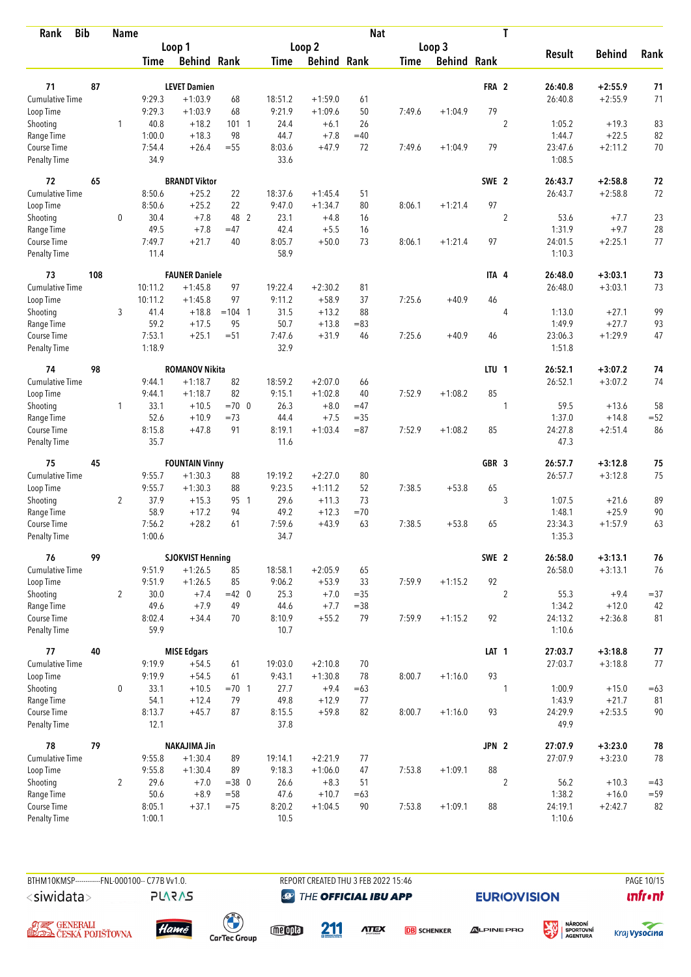| <b>Bib</b><br>Rank                 |     | <b>Name</b>    |                  |                                  |               |                |                    | <b>Nat</b>       |             |                    |                  | T              |                    |                        |                  |
|------------------------------------|-----|----------------|------------------|----------------------------------|---------------|----------------|--------------------|------------------|-------------|--------------------|------------------|----------------|--------------------|------------------------|------------------|
|                                    |     |                |                  | Loop 1                           |               |                | Loop 2             |                  |             | Loop 3             |                  |                |                    |                        |                  |
|                                    |     |                | Time             | <b>Behind Rank</b>               |               | Time           | <b>Behind Rank</b> |                  | <b>Time</b> | <b>Behind Rank</b> |                  |                | <b>Result</b>      | <b>Behind</b>          | Rank             |
| 71                                 | 87  |                |                  | <b>LEVET Damien</b>              |               |                |                    |                  |             |                    | FRA 2            |                | 26:40.8            | $+2:55.9$              | 71               |
| <b>Cumulative Time</b>             |     |                | 9:29.3           | $+1:03.9$                        | 68            | 18:51.2        | $+1:59.0$          | 61               |             |                    |                  |                | 26:40.8            | $+2:55.9$              | 71               |
| Loop Time                          |     |                | 9:29.3           | $+1:03.9$                        | 68            | 9:21.9         | $+1:09.6$          | 50               | 7:49.6      | $+1:04.9$          | 79               |                |                    |                        |                  |
| Shooting                           |     | 1              | 40.8             | $+18.2$                          | 1011          | 24.4           | $+6.1$             | 26               |             |                    |                  | $\overline{c}$ | 1:05.2             | $+19.3$                | 83               |
| Range Time                         |     |                | 1:00.0           | $+18.3$                          | 98            | 44.7           | $+7.8$             | $=40$            |             |                    |                  |                | 1:44.7             | $+22.5$                | 82               |
| Course Time                        |     |                | 7:54.4           | $+26.4$                          | $=55$         | 8:03.6         | $+47.9$            | 72               | 7:49.6      | $+1:04.9$          | 79               |                | 23:47.6            | $+2:11.2$              | $70$             |
| <b>Penalty Time</b>                |     |                | 34.9             |                                  |               | 33.6           |                    |                  |             |                    |                  |                | 1:08.5             |                        |                  |
| 72                                 | 65  |                |                  | <b>BRANDT Viktor</b>             |               |                |                    |                  |             |                    | SWE 2            |                | 26:43.7            | $+2:58.8$              | 72               |
| Cumulative Time                    |     |                | 8:50.6           | $+25.2$                          | 22            | 18:37.6        | $+1:45.4$          | 51               |             |                    |                  |                | 26:43.7            | $+2:58.8$              | 72               |
| Loop Time                          |     |                | 8:50.6           | $+25.2$                          | 22            | 9:47.0         | $+1:34.7$          | 80               | 8:06.1      | $+1:21.4$          | 97               |                |                    |                        |                  |
| Shooting                           |     | 0              | 30.4             | $+7.8$                           | 48 2          | 23.1           | $+4.8$             | 16               |             |                    |                  | $\overline{2}$ | 53.6               | $+7.7$                 | 23               |
| Range Time                         |     |                | 49.5             | $+7.8$                           | $=47$         | 42.4           | $+5.5$             | 16               |             |                    |                  |                | 1:31.9             | $+9.7$                 | 28               |
| Course Time                        |     |                | 7:49.7           | $+21.7$                          | 40            | 8:05.7         | $+50.0$            | 73               | 8:06.1      | $+1:21.4$          | 97               |                | 24:01.5            | $+2:25.1$              | 77               |
| Penalty Time                       |     |                | 11.4             |                                  |               | 58.9           |                    |                  |             |                    |                  |                | 1:10.3             |                        |                  |
| 73                                 | 108 |                |                  | <b>FAUNER Daniele</b>            |               |                |                    |                  |             |                    | ITA 4            |                | 26:48.0            | $+3:03.1$              | 73               |
| <b>Cumulative Time</b>             |     |                | 10:11.2          | $+1:45.8$                        | 97            | 19:22.4        | $+2:30.2$          | 81               |             |                    |                  |                | 26:48.0            | $+3:03.1$              | 73               |
| Loop Time                          |     |                | 10:11.2          | $+1:45.8$                        | 97            | 9:11.2         | $+58.9$            | 37               | 7:25.6      | $+40.9$            | 46               |                |                    |                        |                  |
| Shooting                           |     | 3              | 41.4             | $+18.8$                          | $= 104$ 1     | 31.5           | $+13.2$            | 88               |             |                    |                  | 4              | 1:13.0             | $+27.1$                | 99               |
| Range Time                         |     |                | 59.2             | $+17.5$                          | 95            | 50.7           | $+13.8$            | $=83$            |             |                    |                  |                | 1:49.9             | $+27.7$                | 93               |
| Course Time<br><b>Penalty Time</b> |     |                | 7:53.1<br>1:18.9 | $+25.1$                          | $= 51$        | 7:47.6<br>32.9 | $+31.9$            | 46               | 7:25.6      | $+40.9$            | 46               |                | 23:06.3<br>1:51.8  | $+1:29.9$              | 47               |
| 74                                 | 98  |                |                  | <b>ROMANOV Nikita</b>            |               |                |                    |                  |             |                    | LTU <sub>1</sub> |                | 26:52.1            | $+3:07.2$              | 74               |
| <b>Cumulative Time</b>             |     |                | 9:44.1           | $+1:18.7$                        | 82            | 18:59.2        | $+2:07.0$          | 66               |             |                    |                  |                | 26:52.1            | $+3:07.2$              | 74               |
| Loop Time                          |     |                | 9:44.1           | $+1:18.7$                        | 82            | 9:15.1         | $+1:02.8$          | 40               | 7:52.9      | $+1:08.2$          | 85               |                |                    |                        |                  |
| Shooting                           |     | 1              | 33.1             | $+10.5$                          | $=70$ 0       | 26.3           | $+8.0$             | $=47$            |             |                    |                  | 1              | 59.5               | $+13.6$                | 58               |
| Range Time                         |     |                | 52.6             | $+10.9$                          | $=73$         | 44.4           | $+7.5$             | $= 35$           |             |                    |                  |                | 1:37.0             | $+14.8$                | $= 52$           |
| Course Time                        |     |                | 8:15.8           | $+47.8$                          | 91            | 8:19.1         | $+1:03.4$          | $= 87$           | 7:52.9      | $+1:08.2$          | 85               |                | 24:27.8            | $+2:51.4$              | 86               |
| <b>Penalty Time</b>                |     |                | 35.7             |                                  |               | 11.6           |                    |                  |             |                    |                  |                | 47.3               |                        |                  |
| 75                                 | 45  |                |                  | <b>FOUNTAIN Vinny</b>            |               |                |                    |                  |             |                    | GBR <sub>3</sub> |                | 26:57.7            | $+3:12.8$              | 75               |
| Cumulative Time                    |     |                | 9:55.7           | $+1:30.3$                        | 88            | 19:19.2        | $+2:27.0$          | 80               |             |                    |                  |                | 26:57.7            | $+3:12.8$              | 75               |
| Loop Time                          |     |                | 9:55.7           | $+1:30.3$                        | 88            | 9:23.5         | $+1:11.2$          | 52               | 7:38.5      | $+53.8$            | 65               |                |                    |                        |                  |
| Shooting                           |     | $\overline{2}$ | 37.9             | $+15.3$                          | 95 1          | 29.6           | $+11.3$            | 73               |             |                    |                  | 3              | 1:07.5             | $+21.6$                | 89               |
| Range Time                         |     |                | 58.9             | $+17.2$                          | 94            | 49.2           | $+12.3$            | $=70$            |             |                    |                  |                | 1:48.1             | $+25.9$                | 90               |
| Course Time                        |     |                | 7:56.2           | $+28.2$                          | 61            | 7:59.6         | $+43.9$            | 63               | 7:38.5      | $+53.8$            | 65               |                | 23:34.3            | $+1:57.9$              | 63               |
| <b>Penalty Time</b>                |     |                | 1:00.6           |                                  |               | 34.7           |                    |                  |             |                    |                  |                | 1:35.3             |                        |                  |
| 76                                 | 99  |                |                  | <b>SJOKVIST Henning</b>          |               |                |                    |                  |             |                    | SWE 2            |                | 26:58.0            | $+3:13.1$              | 76               |
| Cumulative Time                    |     |                | 9:51.9           | $+1:26.5$                        | 85            | 18:58.1        | $+2:05.9$          | 65               |             |                    |                  |                | 26:58.0            | $+3:13.1$              | 76               |
| Loop Time                          |     |                | 9:51.9           | $+1:26.5$                        | 85            | 9:06.2         | $+53.9$            | 33               | 7:59.9      | $+1:15.2$          | 92               |                |                    |                        |                  |
| Shooting<br>Range Time             |     | $\overline{2}$ | 30.0<br>49.6     | $+7.4$<br>$+7.9$                 | $=42$ 0<br>49 | 25.3<br>44.6   | $+7.0$<br>$+7.7$   | $= 35$<br>$= 38$ |             |                    |                  | $\overline{2}$ | 55.3<br>1:34.2     | $+9.4$<br>$+12.0$      | $= 37$<br>42     |
| Course Time                        |     |                | 8:02.4           | $+34.4$                          | 70            | 8:10.9         | $+55.2$            | 79               | 7:59.9      | $+1:15.2$          | 92               |                | 24:13.2            | $+2:36.8$              | 81               |
| Penalty Time                       |     |                | 59.9             |                                  |               | 10.7           |                    |                  |             |                    |                  |                | 1:10.6             |                        |                  |
| 77                                 | 40  |                |                  | <b>MISE Edgars</b>               |               |                |                    |                  |             |                    | LAT <sub>1</sub> |                | 27:03.7            | $+3:18.8$              | 77               |
| <b>Cumulative Time</b>             |     |                | 9:19.9           | $+54.5$                          | 61            | 19:03.0        | $+2:10.8$          | 70               |             |                    |                  |                | 27:03.7            | $+3:18.8$              | 77               |
| Loop Time                          |     |                | 9:19.9           | $+54.5$                          | 61            | 9:43.1         | $+1:30.8$          | 78               | 8:00.7      | $+1:16.0$          | 93               |                |                    |                        |                  |
| Shooting                           |     | 0              | 33.1             | $+10.5$                          | $= 70$ 1      | 27.7           | $+9.4$             | $=63$            |             |                    |                  | 1              | 1:00.9             | $+15.0$                | $=63$            |
| Range Time                         |     |                | 54.1             | $+12.4$                          | 79            | 49.8           | $+12.9$            | 77               |             |                    |                  |                | 1:43.9             | $+21.7$                | 81               |
| Course Time<br>Penalty Time        |     |                | 8:13.7<br>12.1   | $+45.7$                          | 87            | 8:15.5<br>37.8 | $+59.8$            | 82               | 8:00.7      | $+1:16.0$          | 93               |                | 24:29.9<br>49.9    | $+2:53.5$              | 90               |
|                                    |     |                |                  |                                  |               |                |                    |                  |             |                    |                  |                |                    |                        |                  |
| 78<br>Cumulative Time              | 79  |                | 9:55.8           | <b>NAKAJIMA Jin</b><br>$+1:30.4$ | 89            | 19:14.1        | $+2:21.9$          | 77               |             |                    | JPN 2            |                | 27:07.9<br>27:07.9 | $+3:23.0$<br>$+3:23.0$ | ${\bf 78}$<br>78 |
| Loop Time                          |     |                | 9:55.8           | $+1:30.4$                        | 89            | 9:18.3         | $+1:06.0$          | 47               | 7:53.8      | $+1:09.1$          | 88               |                |                    |                        |                  |
| Shooting                           |     | $\overline{2}$ | 29.6             | $+7.0$                           | $=38$ 0       | 26.6           | $+8.3$             | 51               |             |                    |                  | 2              | 56.2               | $+10.3$                | $=43$            |
| Range Time                         |     |                | 50.6             | $+8.9$                           | $= 58$        | 47.6           | $+10.7$            | $=63$            |             |                    |                  |                | 1:38.2             | $+16.0$                | $= 59$           |
| Course Time                        |     |                | 8:05.1           | $+37.1$                          | $=75$         | 8:20.2         | $+1:04.5$          | 90               | 7:53.8      | $+1:09.1$          | 88               |                | 24:19.1            | $+2:42.7$              | 82               |
| <b>Penalty Time</b>                |     |                | 1:00.1           |                                  |               | 10.5           |                    |                  |             |                    |                  |                | 1:10.6             |                        |                  |



**@** THE OFFICIAL IBU APP

**EURIO)VISION** 

**unfront** 





**PLARAS** 

meona



**ATEX** 

**DB** SCHENKER

**ALPINE PRO** 



溪

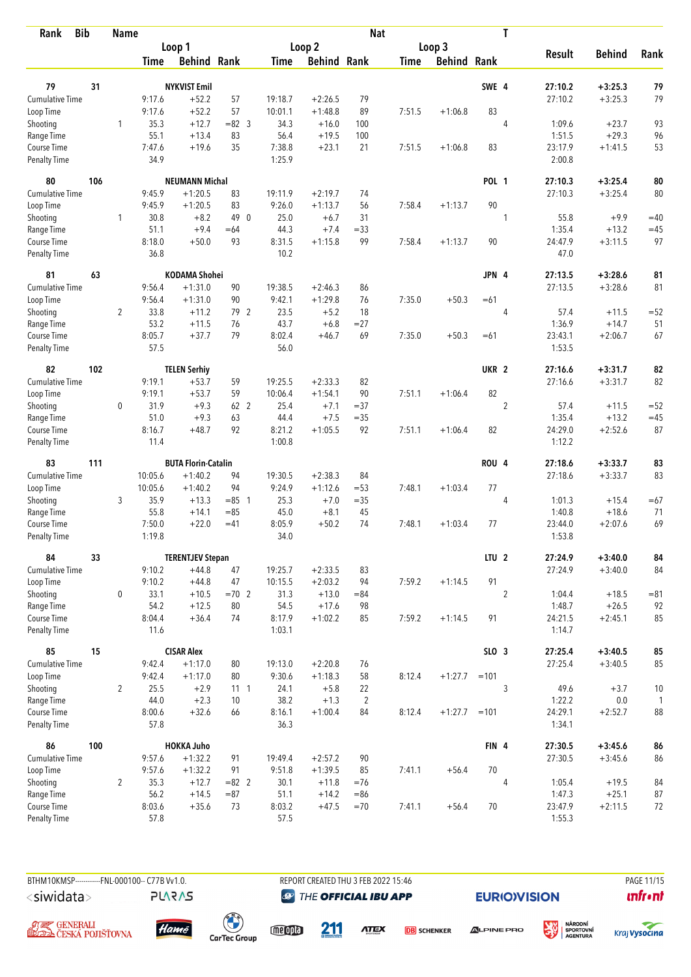| <b>Bib</b><br>Rank          |     | <b>Name</b>    |                |                            |                |                  |                    | <b>Nat</b>     |             |                    |                  | T              |                   |               |              |
|-----------------------------|-----|----------------|----------------|----------------------------|----------------|------------------|--------------------|----------------|-------------|--------------------|------------------|----------------|-------------------|---------------|--------------|
|                             |     |                |                | Loop 1                     |                |                  | Loop <sub>2</sub>  |                |             | Loop 3             |                  |                |                   |               |              |
|                             |     |                | <b>Time</b>    | <b>Behind Rank</b>         |                | Time             | <b>Behind Rank</b> |                | <b>Time</b> | <b>Behind Rank</b> |                  |                | <b>Result</b>     | <b>Behind</b> | Rank         |
|                             |     |                |                |                            |                |                  |                    |                |             |                    |                  |                |                   |               |              |
| 79                          | 31  |                |                | <b>NYKVIST Emil</b>        |                |                  |                    |                |             |                    | SWE 4            |                | 27:10.2           | $+3:25.3$     | 79           |
| <b>Cumulative Time</b>      |     |                | 9:17.6         | $+52.2$                    | 57             | 19:18.7          | $+2:26.5$          | 79             |             |                    |                  |                | 27:10.2           | $+3:25.3$     | 79           |
| Loop Time                   |     | 1              | 9:17.6<br>35.3 | $+52.2$<br>$+12.7$         | 57<br>$= 82$ 3 | 10:01.1<br>34.3  | $+1:48.8$          | 89<br>100      | 7:51.5      | $+1:06.8$          | 83               | 4              | 1:09.6            | $+23.7$       |              |
| Shooting<br>Range Time      |     |                | 55.1           | $+13.4$                    | 83             | 56.4             | $+16.0$<br>$+19.5$ | 100            |             |                    |                  |                | 1:51.5            | $+29.3$       | 93<br>96     |
| Course Time                 |     |                | 7:47.6         | $+19.6$                    | 35             | 7:38.8           | $+23.1$            | 21             | 7:51.5      | $+1:06.8$          | 83               |                | 23:17.9           | $+1:41.5$     | 53           |
| <b>Penalty Time</b>         |     |                | 34.9           |                            |                | 1:25.9           |                    |                |             |                    |                  |                | 2:00.8            |               |              |
| 80                          | 106 |                |                | <b>NEUMANN Michal</b>      |                |                  |                    |                |             |                    | <b>POL 1</b>     |                | 27:10.3           | $+3:25.4$     | 80           |
| Cumulative Time             |     |                | 9:45.9         | $+1:20.5$                  | 83             | 19:11.9          | $+2:19.7$          | 74             |             |                    |                  |                | 27:10.3           | $+3:25.4$     | 80           |
| Loop Time                   |     |                | 9:45.9         | $+1:20.5$                  | 83             | 9:26.0           | $+1:13.7$          | 56             | 7:58.4      | $+1:13.7$          | 90               |                |                   |               |              |
| Shooting                    |     | 1              | 30.8           | $+8.2$                     | 49 0           | 25.0             | $+6.7$             | 31             |             |                    |                  | 1              | 55.8              | $+9.9$        | $=40$        |
| Range Time                  |     |                | 51.1           | $+9.4$                     | $=64$          | 44.3             | $+7.4$             | $= 33$         |             |                    |                  |                | 1:35.4            | $+13.2$       | $=45$        |
| Course Time                 |     |                | 8:18.0         | $+50.0$                    | 93             | 8:31.5           | $+1:15.8$          | 99             | 7:58.4      | $+1:13.7$          | 90               |                | 24:47.9           | $+3:11.5$     | 97           |
| <b>Penalty Time</b>         |     |                | 36.8           |                            |                | 10.2             |                    |                |             |                    |                  |                | 47.0              |               |              |
| 81                          | 63  |                |                | <b>KODAMA Shohei</b>       |                |                  |                    |                |             |                    | JPN 4            |                | 27:13.5           | $+3:28.6$     | 81           |
| Cumulative Time             |     |                | 9:56.4         | $+1:31.0$                  | 90             | 19:38.5          | $+2:46.3$          | 86             |             |                    |                  |                | 27:13.5           | $+3:28.6$     | 81           |
| Loop Time                   |     |                | 9:56.4         | $+1:31.0$                  | 90             | 9:42.1           | $+1:29.8$          | 76             | 7:35.0      | $+50.3$            | $=61$            |                |                   |               |              |
| Shooting                    |     | $\overline{2}$ | 33.8           | $+11.2$                    | 79 2           | 23.5             | $+5.2$             | 18             |             |                    |                  | 4              | 57.4              | $+11.5$       | $= 52$       |
| Range Time                  |     |                | 53.2           | $+11.5$                    | 76             | 43.7             | $+6.8$             | $= 27$         |             |                    |                  |                | 1:36.9            | $+14.7$       | 51           |
| Course Time                 |     |                | 8:05.7         | $+37.7$                    | 79             | 8:02.4           | $+46.7$            | 69             | 7:35.0      | $+50.3$            | $=61$            |                | 23:43.1           | $+2:06.7$     | 67           |
| <b>Penalty Time</b>         |     |                | 57.5           |                            |                | 56.0             |                    |                |             |                    |                  |                | 1:53.5            |               |              |
| 82                          | 102 |                |                | <b>TELEN Serhiy</b>        |                |                  |                    |                |             |                    | UKR <sub>2</sub> |                | 27:16.6           | $+3:31.7$     | 82           |
| Cumulative Time             |     |                | 9:19.1         | $+53.7$                    | 59             | 19:25.5          | $+2:33.3$          | 82             |             |                    |                  |                | 27:16.6           | $+3:31.7$     | 82           |
| Loop Time                   |     |                | 9:19.1         | $+53.7$                    | 59             | 10:06.4          | $+1:54.1$          | 90             | 7:51.1      | $+1:06.4$          | 82               |                |                   |               |              |
| Shooting                    |     | $\mathbf 0$    | 31.9           | $+9.3$                     | 62 2           | 25.4             | $+7.1$             | $=37$          |             |                    |                  | $\overline{2}$ | 57.4              | $+11.5$       | $= 52$       |
| Range Time                  |     |                | 51.0           | $+9.3$                     | 63             | 44.4             | $+7.5$             | $=35$          |             |                    |                  |                | 1:35.4            | $+13.2$       | $=45$        |
| Course Time                 |     |                | 8:16.7         | $+48.7$                    | 92             | 8:21.2           | $+1:05.5$          | 92             | 7:51.1      | $+1:06.4$          | 82               |                | 24:29.0           | $+2:52.6$     | 87           |
| <b>Penalty Time</b>         |     |                | 11.4           |                            |                | 1:00.8           |                    |                |             |                    |                  |                | 1:12.2            |               |              |
| 83                          | 111 |                |                | <b>BUTA Florin-Catalin</b> |                |                  |                    |                |             |                    | ROU <sub>4</sub> |                | 27:18.6           | $+3:33.7$     | 83           |
| Cumulative Time             |     |                | 10:05.6        | $+1:40.2$                  | 94             | 19:30.5          | $+2:38.3$          | 84             |             |                    |                  |                | 27:18.6           | $+3:33.7$     | 83           |
| Loop Time                   |     |                | 10:05.6        | $+1:40.2$                  | 94             | 9:24.9           | $+1:12.6$          | $= 53$         | 7:48.1      | $+1:03.4$          | 77               |                |                   |               |              |
| Shooting                    |     | 3              | 35.9           | $+13.3$                    | $= 85$ 1       | 25.3             | $+7.0$             | $=35$          |             |                    |                  | 4              | 1:01.3            | $+15.4$       | $= 67$       |
| Range Time                  |     |                | 55.8           | $+14.1$                    | $= 85$         | 45.0             | $+8.1$             | 45             |             |                    |                  |                | 1:40.8            | $+18.6$       | 71           |
| Course Time                 |     |                | 7:50.0         | $+22.0$                    | $=41$          | 8:05.9           | $+50.2$            | 74             | 7:48.1      | $+1:03.4$          | 77               |                | 23:44.0           | $+2:07.6$     | 69           |
| <b>Penalty Time</b>         |     |                | 1:19.8         |                            |                | 34.0             |                    |                |             |                    |                  |                | 1:53.8            |               |              |
| 84                          | 33  |                |                | <b>TERENTJEV Stepan</b>    |                |                  |                    |                |             |                    | LTU <sub>2</sub> |                | 27:24.9           | $+3:40.0$     | 84           |
| <b>Cumulative Time</b>      |     |                | 9:10.2         | $+44.8$                    | 47             | 19:25.7          | $+2:33.5$          | 83             |             |                    |                  |                | 27:24.9           | $+3:40.0$     | 84           |
| Loop Time                   |     |                | 9:10.2         | $+44.8$                    | 47             | 10:15.5          | $+2:03.2$          | 94             | 7:59.2      | $+1:14.5$          | 91               |                |                   |               |              |
| Shooting                    |     | 0              | 33.1           | $+10.5$                    | $=70$ 2        | 31.3             | $+13.0$            | $= 84$         |             |                    |                  | $\overline{2}$ | 1:04.4            | $+18.5$       | $= 81$       |
| Range Time                  |     |                | 54.2           | $+12.5$                    | 80             | 54.5             | $+17.6$            | 98             |             |                    |                  |                | 1:48.7            | $+26.5$       | 92           |
| Course Time<br>Penalty Time |     |                | 8:04.4<br>11.6 | $+36.4$                    | 74             | 8:17.9<br>1:03.1 | $+1:02.2$          | 85             | 7:59.2      | $+1:14.5$          | 91               |                | 24:21.5<br>1:14.7 | $+2:45.1$     | 85           |
| 85                          | 15  |                |                | <b>CISAR Alex</b>          |                |                  |                    |                |             |                    | SLO 3            |                | 27:25.4           | $+3:40.5$     | 85           |
| Cumulative Time             |     |                | 9:42.4         | $+1:17.0$                  | 80             | 19:13.0          | $+2:20.8$          | 76             |             |                    |                  |                | 27:25.4           | $+3:40.5$     | 85           |
| Loop Time                   |     |                | 9:42.4         | $+1:17.0$                  | 80             | 9:30.6           | $+1:18.3$          | 58             | 8:12.4      | $+1:27.7$          | $=101$           |                |                   |               |              |
| Shooting                    |     | $\overline{2}$ | 25.5           | $+2.9$                     | $11 \quad 1$   | 24.1             | $+5.8$             | 22             |             |                    |                  | 3              | 49.6              | $+3.7$        | 10           |
| Range Time                  |     |                | 44.0           | $+2.3$                     | 10             | 38.2             | $+1.3$             | $\overline{2}$ |             |                    |                  |                | 1:22.2            | 0.0           | $\mathbf{1}$ |
| Course Time                 |     |                | 8:00.6         | $+32.6$                    | 66             | 8:16.1           | $+1:00.4$          | 84             | 8:12.4      | $+1:27.7$          | $=101$           |                | 24:29.1           | $+2:52.7$     | 88           |
| Penalty Time                |     |                | 57.8           |                            |                | 36.3             |                    |                |             |                    |                  |                | 1:34.1            |               |              |
| 86                          | 100 |                |                | <b>HOKKA Juho</b>          |                |                  |                    |                |             |                    | FIN 4            |                | 27:30.5           | $+3:45.6$     | 86           |
| <b>Cumulative Time</b>      |     |                | 9:57.6         | $+1:32.2$                  | 91             | 19:49.4          | $+2:57.2$          | 90             |             |                    |                  |                | 27:30.5           | $+3:45.6$     | 86           |
| Loop Time                   |     |                | 9:57.6         | $+1:32.2$                  | 91             | 9:51.8           | $+1:39.5$          | 85             | 7:41.1      | $+56.4$            | 70               |                |                   |               |              |
| Shooting                    |     | $\overline{2}$ | 35.3           | $+12.7$                    | $= 82$ 2       | 30.1             | $+11.8$            | $=76$          |             |                    |                  | 4              | 1:05.4            | $+19.5$       | 84           |
| Range Time                  |     |                | 56.2           | $+14.5$                    | $= 87$         | 51.1             | $+14.2$            | $= 86$         |             |                    |                  |                | 1:47.3            | $+25.1$       | 87           |
| Course Time                 |     |                | 8:03.6         | $+35.6$                    | 73             | 8:03.2           | $+47.5$            | $=70$          | 7:41.1      | $+56.4$            | 70               |                | 23:47.9           | $+2:11.5$     | 72           |
| Penalty Time                |     |                | 57.8           |                            |                | 57.5             |                    |                |             |                    |                  |                | 1:55.3            |               |              |

BTHM10KMSP-----------FNL-000100-- C77B Vv1.0. REPORT CREATED THU 3 FEB 2022 15:46 PAGE 11/15 <siwidata>

**@** THE OFFICIAL IBU APP

**EURIO)VISION** 

溪







**PLARAS** 

meona

211

**ATEX DB** SCHENKER



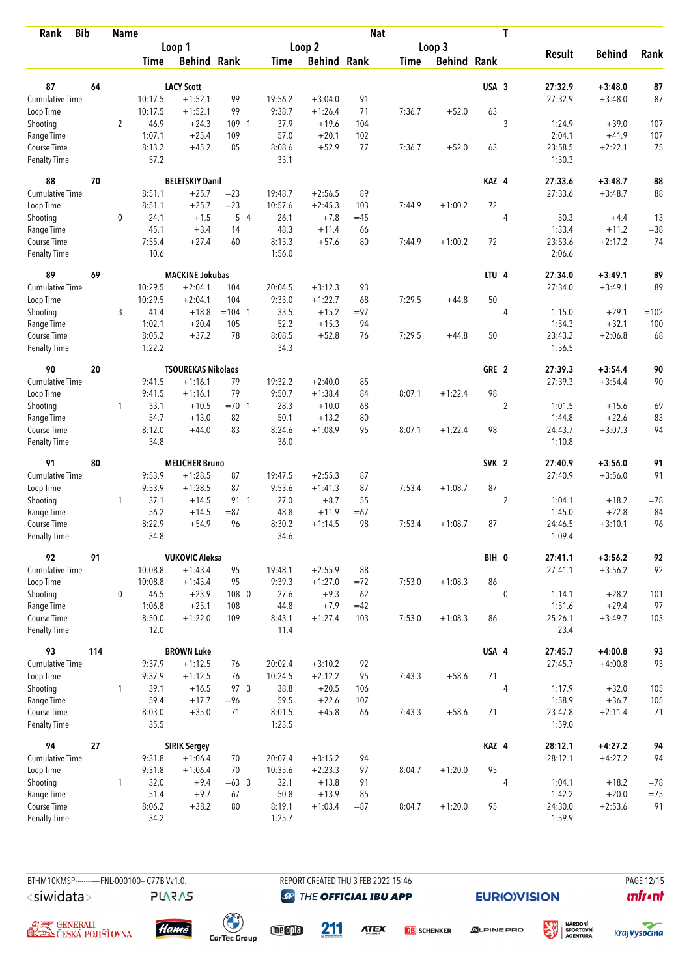| <b>Bib</b><br>Rank          |     | <b>Name</b>    |                |                           |           |                  |                    | <b>Nat</b> |             |                    |                  | $\mathbf T$    |                   |               |          |
|-----------------------------|-----|----------------|----------------|---------------------------|-----------|------------------|--------------------|------------|-------------|--------------------|------------------|----------------|-------------------|---------------|----------|
|                             |     |                |                | Loop 1                    |           |                  | Loop <sub>2</sub>  |            |             | Loop 3             |                  |                |                   |               |          |
|                             |     |                | <b>Time</b>    | <b>Behind Rank</b>        |           | Time             | <b>Behind Rank</b> |            | <b>Time</b> | <b>Behind Rank</b> |                  |                | <b>Result</b>     | <b>Behind</b> | Rank     |
| 87                          | 64  |                |                | <b>LACY Scott</b>         |           |                  |                    |            |             |                    | USA 3            |                | 27:32.9           | $+3:48.0$     |          |
| <b>Cumulative Time</b>      |     |                | 10:17.5        | $+1:52.1$                 | 99        | 19:56.2          | $+3:04.0$          | 91         |             |                    |                  |                | 27:32.9           | $+3:48.0$     | 87<br>87 |
|                             |     |                | 10:17.5        | $+1:52.1$                 | 99        | 9:38.7           | $+1:26.4$          | 71         | 7:36.7      | $+52.0$            | 63               |                |                   |               |          |
| Loop Time                   |     | $\overline{2}$ | 46.9           | $+24.3$                   | 109 1     | 37.9             | $+19.6$            | 104        |             |                    |                  | 3              | 1:24.9            | $+39.0$       | 107      |
| Shooting<br>Range Time      |     |                | 1:07.1         | $+25.4$                   | 109       | 57.0             | $+20.1$            | 102        |             |                    |                  |                | 2:04.1            | $+41.9$       | 107      |
| Course Time                 |     |                | 8:13.2         | $+45.2$                   | 85        | 8:08.6           | $+52.9$            | 77         | 7:36.7      | $+52.0$            | 63               |                | 23:58.5           | $+2:22.1$     | 75       |
| <b>Penalty Time</b>         |     |                | 57.2           |                           |           | 33.1             |                    |            |             |                    |                  |                | 1:30.3            |               |          |
| 88                          | 70  |                |                | <b>BELETSKIY Danil</b>    |           |                  |                    |            |             |                    | KAZ 4            |                | 27:33.6           | $+3:48.7$     | 88       |
| Cumulative Time             |     |                | 8:51.1         | $+25.7$                   | $= 23$    | 19:48.7          | $+2:56.5$          | 89         |             |                    |                  |                | 27:33.6           | $+3:48.7$     | 88       |
| Loop Time                   |     |                | 8:51.1         | $+25.7$                   | $= 23$    | 10:57.6          | $+2:45.3$          | 103        | 7:44.9      | $+1:00.2$          | 72               |                |                   |               |          |
| Shooting                    |     | 0              | 24.1           | $+1.5$                    | 54        | 26.1             | $+7.8$             | $=45$      |             |                    |                  | 4              | 50.3              | $+4.4$        | 13       |
| Range Time                  |     |                | 45.1           | $+3.4$                    | 14        | 48.3             | $+11.4$            | 66         |             |                    |                  |                | 1:33.4            | $+11.2$       | $= 38$   |
| Course Time                 |     |                | 7:55.4         | $+27.4$                   | 60        | 8:13.3           | $+57.6$            | 80         | 7:44.9      | $+1:00.2$          | 72               |                | 23:53.6           | $+2:17.2$     | 74       |
| <b>Penalty Time</b>         |     |                | 10.6           |                           |           | 1:56.0           |                    |            |             |                    |                  |                | 2:06.6            |               |          |
| 89                          | 69  |                |                | <b>MACKINE Jokubas</b>    |           |                  |                    |            |             |                    | LTU <sub>4</sub> |                | 27:34.0           | $+3:49.1$     | 89       |
| Cumulative Time             |     |                | 10:29.5        | $+2:04.1$                 | 104       | 20:04.5          | $+3:12.3$          | 93         |             |                    |                  |                | 27:34.0           | $+3:49.1$     | 89       |
| Loop Time                   |     |                | 10:29.5        | $+2:04.1$                 | 104       | 9:35.0           | $+1:22.7$          | 68         | 7:29.5      | $+44.8$            | 50               |                |                   |               |          |
| Shooting                    |     | 3              | 41.4           | $+18.8$                   | $= 104$ 1 | 33.5             | $+15.2$            | $= 97$     |             |                    |                  | 4              | 1:15.0            | $+29.1$       | $=102$   |
| Range Time                  |     |                | 1:02.1         | $+20.4$                   | 105       | 52.2             | $+15.3$            | 94         |             |                    |                  |                | 1:54.3            | $+32.1$       | 100      |
| Course Time                 |     |                | 8:05.2         | $+37.2$                   | 78        | 8:08.5           | $+52.8$            | 76         | 7:29.5      | $+44.8$            | 50               |                | 23:43.2           | $+2:06.8$     | 68       |
| <b>Penalty Time</b>         |     |                | 1:22.2         |                           |           | 34.3             |                    |            |             |                    |                  |                | 1:56.5            |               |          |
| 90                          | 20  |                |                | <b>TSOUREKAS Nikolaos</b> |           |                  |                    |            |             |                    | GRE 2            |                | 27:39.3           | $+3:54.4$     | 90       |
| Cumulative Time             |     |                | 9:41.5         | $+1:16.1$                 | 79        | 19:32.2          | $+2:40.0$          | 85         |             |                    |                  |                | 27:39.3           | $+3:54.4$     | 90       |
| Loop Time                   |     |                | 9:41.5         | $+1:16.1$                 | 79        | 9:50.7           | $+1:38.4$          | 84         | 8:07.1      | $+1:22.4$          | 98               |                |                   |               |          |
| Shooting                    |     | $\mathbf{1}$   | 33.1           | $+10.5$                   | $=70$ 1   | 28.3             | $+10.0$            | 68         |             |                    |                  | $\overline{2}$ | 1:01.5            | $+15.6$       | 69       |
| Range Time                  |     |                | 54.7           | $+13.0$                   | 82        | 50.1             | $+13.2$            | 80         |             |                    |                  |                | 1:44.8            | $+22.6$       | 83       |
| Course Time                 |     |                | 8:12.0         | $+44.0$                   | 83        | 8:24.6           | $+1:08.9$          | 95         | 8:07.1      | $+1:22.4$          | 98               |                | 24:43.7           | $+3:07.3$     | 94       |
| <b>Penalty Time</b>         |     |                | 34.8           |                           |           | 36.0             |                    |            |             |                    |                  |                | 1:10.8            |               |          |
| 91                          | 80  |                |                | <b>MELICHER Bruno</b>     |           |                  |                    |            |             |                    | SVK <sub>2</sub> |                | 27:40.9           | $+3:56.0$     | 91       |
| Cumulative Time             |     |                | 9:53.9         | $+1:28.5$                 | 87        | 19:47.5          | $+2:55.3$          | 87         |             |                    |                  |                | 27:40.9           | $+3:56.0$     | 91       |
| Loop Time                   |     |                | 9:53.9         | $+1:28.5$                 | 87        | 9:53.6           | $+1:41.3$          | 87         | 7:53.4      | $+1:08.7$          | 87               |                |                   |               |          |
| Shooting                    |     | $\mathbf{1}$   | 37.1           | $+14.5$                   | 91 1      | 27.0             | $+8.7$             | 55         |             |                    |                  | $\overline{2}$ | 1:04.1            | $+18.2$       | $=78$    |
| Range Time                  |     |                | 56.2           | $+14.5$                   | $= 87$    | 48.8             | $+11.9$            | $=67$      |             |                    |                  |                | 1:45.0            | $+22.8$       | 84       |
| Course Time                 |     |                | 8:22.9         | $+54.9$                   | 96        | 8:30.2           | $+1:14.5$          | 98         | 7:53.4      | $+1:08.7$          | 87               |                | 24:46.5           | $+3:10.1$     | 96       |
| <b>Penalty Time</b>         |     |                | 34.8           |                           |           | 34.6             |                    |            |             |                    |                  |                | 1:09.4            |               |          |
| 92                          | 91  |                |                | <b>VUKOVIC Aleksa</b>     |           |                  |                    |            |             |                    | BIH 0            |                | 27:41.1           | $+3:56.2$     | 92       |
| <b>Cumulative Time</b>      |     |                | 10:08.8        | $+1:43.4$                 | 95        | 19:48.1          | $+2:55.9$          | 88         |             |                    |                  |                | 27:41.1           | $+3:56.2$     | 92       |
| Loop Time                   |     |                | 10:08.8        | $+1:43.4$                 | 95        | 9:39.3           | $+1:27.0$          | $= 72$     | 7:53.0      | $+1:08.3$          | 86               |                |                   |               |          |
| Shooting                    |     | 0              | 46.5           | $+23.9$                   | 108 0     | 27.6             | $+9.3$             | 62         |             |                    |                  | $\mathbf{0}$   | 1:14.1            | $+28.2$       | 101      |
| Range Time                  |     |                | 1:06.8         | $+25.1$                   | 108       | 44.8             | $+7.9$             | $=42$      |             |                    |                  |                | 1:51.6            | $+29.4$       | 97       |
| Course Time                 |     |                | 8:50.0         | $+1:22.0$                 | 109       | 8:43.1           | $+1:27.4$          | 103        | 7:53.0      | $+1:08.3$          | 86               |                | 25:26.1           | $+3:49.7$     | 103      |
| Penalty Time                |     |                | 12.0           |                           |           | 11.4             |                    |            |             |                    |                  |                | 23.4              |               |          |
| 93                          | 114 |                |                | <b>BROWN Luke</b>         |           |                  |                    |            |             |                    | USA 4            |                | 27:45.7           | $+4:00.8$     | 93       |
| <b>Cumulative Time</b>      |     |                | 9:37.9         | $+1:12.5$                 | 76        | 20:02.4          | $+3:10.2$          | 92         |             |                    |                  |                | 27:45.7           | $+4:00.8$     | 93       |
| Loop Time                   |     |                | 9:37.9         | $+1:12.5$                 | 76        | 10:24.5          | $+2:12.2$          | 95         | 7:43.3      | $+58.6$            | 71               |                |                   |               |          |
| Shooting                    |     | $\mathbf{1}$   | 39.1           | $+16.5$                   | 97 3      | 38.8             | $+20.5$            | 106        |             |                    |                  | 4              | 1:17.9            | $+32.0$       | 105      |
| Range Time                  |     |                | 59.4           | $+17.7$                   | $= 96$    | 59.5             | $+22.6$            | 107        |             |                    |                  |                | 1:58.9            | $+36.7$       | 105      |
| Course Time<br>Penalty Time |     |                | 8:03.0<br>35.5 | $+35.0$                   | 71        | 8:01.5<br>1:23.5 | $+45.8$            | 66         | 7:43.3      | $+58.6$            | 71               |                | 23:47.8<br>1:59.0 | $+2:11.4$     | 71       |
| 94                          | 27  |                |                | <b>SIRIK Sergey</b>       |           |                  |                    |            |             |                    | KAZ 4            |                | 28:12.1           | $+4:27.2$     | 94       |
| <b>Cumulative Time</b>      |     |                | 9:31.8         | $+1:06.4$                 | 70        | 20:07.4          | $+3:15.2$          | 94         |             |                    |                  |                | 28:12.1           | $+4:27.2$     | 94       |
| Loop Time                   |     |                | 9:31.8         | $+1:06.4$                 | 70        | 10:35.6          | $+2:23.3$          | 97         | 8:04.7      | $+1:20.0$          | 95               |                |                   |               |          |
| Shooting                    |     | 1              | 32.0           | $+9.4$                    | $=63.3$   | 32.1             | $+13.8$            | 91         |             |                    |                  | 4              | 1:04.1            | $+18.2$       | $=78$    |
| Range Time                  |     |                | 51.4           | $+9.7$                    | 67        | 50.8             | $+13.9$            | 85         |             |                    |                  |                | 1:42.2            | $+20.0$       | $=75$    |
| Course Time                 |     |                | 8:06.2         | $+38.2$                   | 80        | 8:19.1           | $+1:03.4$          | $= 87$     | 8:04.7      | $+1:20.0$          | 95               |                | 24:30.0           | $+2:53.6$     | 91       |
| Penalty Time                |     |                | 34.2           |                           |           | 1:25.7           |                    |            |             |                    |                  |                | 1:59.9            |               |          |

BTHM10KMSP-----------FNL-000100-- C77B Vv1.0. REPORT CREATED THU 3 FEB 2022 15:46 PAGE 12/15 <siwidata>

**PLARAS** 

Hamé

 $\begin{pmatrix} 1 \\ 1 \end{pmatrix}$ <br>CarTec Group

**@** THE OFFICIAL IBU APP

**EURIO)VISION** 

溪



**DB** SCHENKER



**unfront** 

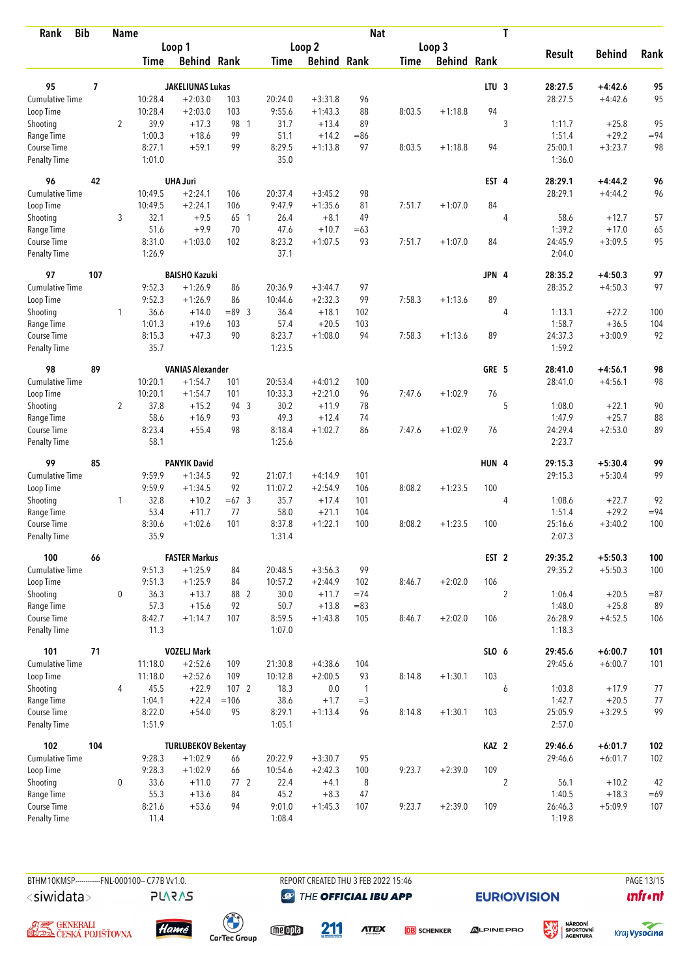| <b>Bib</b><br>Rank                 |                | Name           |                  |                                         |                 |                  |                    | <b>Nat</b>   |             |                    |                  | T              |                    |                        |            |
|------------------------------------|----------------|----------------|------------------|-----------------------------------------|-----------------|------------------|--------------------|--------------|-------------|--------------------|------------------|----------------|--------------------|------------------------|------------|
|                                    |                |                | Loop 1           |                                         |                 |                  | Loop 2             |              |             | Loop 3             |                  |                |                    |                        |            |
|                                    |                |                | Time             | <b>Behind Rank</b>                      |                 | <b>Time</b>      | <b>Behind Rank</b> |              | <b>Time</b> | <b>Behind Rank</b> |                  |                | <b>Result</b>      | <b>Behind</b>          | Rank       |
| 95                                 | $\overline{1}$ |                |                  | <b>JAKELIUNAS Lukas</b>                 |                 |                  |                    |              |             |                    | LTU <sub>3</sub> |                | 28:27.5            | $+4:42.6$              | 95         |
| Cumulative Time                    |                |                | 10:28.4          | $+2:03.0$                               | 103             | 20:24.0          | $+3:31.8$          | 96           |             |                    |                  |                | 28:27.5            | $+4:42.6$              | 95         |
| Loop Time                          |                |                | 10:28.4          | $+2:03.0$                               | 103             | 9:55.6           | $+1:43.3$          | 88           | 8:03.5      | $+1:18.8$          | 94               |                |                    |                        |            |
| Shooting                           |                | $\overline{2}$ | 39.9             | $+17.3$                                 | 98 1            | 31.7             | $+13.4$            | 89           |             |                    |                  | 3              | 1:11.7             | $+25.8$                | 95         |
|                                    |                |                | 1:00.3           | $+18.6$                                 | 99              | 51.1             | $+14.2$            | $= 86$       |             |                    |                  |                | 1:51.4             | $+29.2$                | $= 94$     |
| Range Time<br>Course Time          |                |                | 8:27.1           | $+59.1$                                 | 99              | 8:29.5           | $+1:13.8$          | 97           | 8:03.5      | $+1:18.8$          | 94               |                | 25:00.1            | $+3:23.7$              | 98         |
| <b>Penalty Time</b>                |                |                | 1:01.0           |                                         |                 | 35.0             |                    |              |             |                    |                  |                | 1:36.0             |                        |            |
| 96                                 | 42             |                |                  | <b>UHA Juri</b>                         |                 |                  |                    |              |             |                    | EST 4            |                | 28:29.1            | $+4:44.2$              | 96         |
| <b>Cumulative Time</b>             |                |                | 10:49.5          | $+2:24.1$                               | 106             | 20:37.4          | $+3:45.2$          | 98           |             |                    |                  |                | 28:29.1            | $+4:44.2$              | 96         |
| Loop Time                          |                |                | 10:49.5          | $+2:24.1$                               | 106             | 9:47.9           | $+1:35.6$          | 81           | 7:51.7      | $+1:07.0$          | 84               |                |                    |                        |            |
| Shooting                           |                | 3              | 32.1             | $+9.5$                                  | 65 1            | 26.4             | $+8.1$             | 49           |             |                    |                  | 4              | 58.6               | $+12.7$                | 57         |
| Range Time                         |                |                | 51.6             | $+9.9$                                  | 70              | 47.6             | $+10.7$            | $=63$        |             |                    |                  |                | 1:39.2             | $+17.0$                | 65         |
| Course Time                        |                |                | 8:31.0           | $+1:03.0$                               | 102             | 8:23.2           | $+1:07.5$          | 93           | 7:51.7      | $+1:07.0$          | 84               |                | 24:45.9            | $+3:09.5$              | 95         |
| <b>Penalty Time</b>                |                |                | 1:26.9           |                                         |                 | 37.1             |                    |              |             |                    |                  |                | 2:04.0             |                        |            |
| 97                                 | 107            |                |                  | <b>BAISHO Kazuki</b>                    |                 |                  |                    |              |             |                    | JPN 4            |                | 28:35.2            | $+4:50.3$              | 97         |
| <b>Cumulative Time</b>             |                |                | 9:52.3           | $+1:26.9$                               | 86              | 20:36.9          | $+3:44.7$          | 97           |             |                    |                  |                | 28:35.2            | $+4:50.3$              | 97         |
| Loop Time                          |                |                | 9:52.3           | $+1:26.9$                               | 86              | 10:44.6          | $+2:32.3$          | 99           | 7:58.3      | $+1:13.6$          | 89               |                |                    |                        |            |
| Shooting                           |                | 1              | 36.6             | $+14.0$                                 | $= 89$ 3        | 36.4             | $+18.1$            | 102          |             |                    |                  | 4              | 1:13.1             | $+27.2$                | 100        |
| Range Time                         |                |                | 1:01.3           | $+19.6$                                 | 103             | 57.4             | $+20.5$            | 103          |             |                    |                  |                | 1:58.7             | $+36.5$                | 104        |
| Course Time                        |                |                | 8:15.3           | $+47.3$                                 | 90              | 8:23.7           | $+1:08.0$          | 94           | 7:58.3      | $+1:13.6$          | 89               |                | 24:37.3            | $+3:00.9$              | 92         |
| <b>Penalty Time</b>                |                |                | 35.7             |                                         |                 | 1:23.5           |                    |              |             |                    |                  |                | 1:59.2             |                        |            |
| 98                                 | 89             |                |                  | <b>VANIAS Alexander</b>                 |                 |                  |                    |              |             |                    | GRE 5            |                | 28:41.0            | $+4:56.1$              | 98         |
| <b>Cumulative Time</b>             |                |                | 10:20.1          | $+1:54.7$                               | 101             | 20:53.4          | $+4:01.2$          | 100          |             |                    |                  |                | 28:41.0            | $+4:56.1$              | 98         |
| Loop Time                          |                |                | 10:20.1          | $+1:54.7$                               | 101             | 10:33.3          | $+2:21.0$          | 96           | 7:47.6      | $+1:02.9$          | 76               |                |                    |                        |            |
| Shooting                           |                | $\overline{2}$ | 37.8             | $+15.2$                                 | 94 3            | 30.2             | $+11.9$            | 78           |             |                    |                  | 5              | 1:08.0             | $+22.1$                | 90         |
| Range Time                         |                |                | 58.6             | $+16.9$                                 | 93              | 49.3             | $+12.4$            | 74           |             |                    |                  |                | 1:47.9             | $+25.7$                | 88         |
| Course Time                        |                |                | 8:23.4           | $+55.4$                                 | 98              | 8:18.4           | $+1:02.7$          | 86           | 7:47.6      | $+1:02.9$          | 76               |                | 24:29.4            | $+2:53.0$              | 89         |
| <b>Penalty Time</b>                |                |                | 58.1             |                                         |                 | 1:25.6           |                    |              |             |                    |                  |                | 2:23.7             |                        |            |
| 99                                 | 85             |                |                  | <b>PANYIK David</b>                     |                 |                  |                    |              |             |                    | HUN 4            |                | 29:15.3            | $+5:30.4$              | 99         |
| <b>Cumulative Time</b>             |                |                | 9:59.9           | $+1:34.5$                               | 92              | 21:07.1          | $+4:14.9$          | 101          |             |                    |                  |                | 29:15.3            | $+5:30.4$              | 99         |
| Loop Time                          |                |                | 9:59.9           | $+1:34.5$                               | 92              | 11:07.2          | $+2:54.9$          | 106          | 8:08.2      | $+1:23.5$          | 100              |                |                    |                        |            |
| Shooting                           |                | 1              | 32.8             | $+10.2$                                 | $=67.3$         | 35.7             | $+17.4$            | 101          |             |                    |                  | 4              | 1:08.6             | $+22.7$                | 92         |
| Range Time                         |                |                | 53.4             | $+11.7$                                 | 77              | 58.0             | $+21.1$            | 104          |             |                    |                  |                | 1:51.4             | $+29.2$                | $= 94$     |
| Course Time                        |                |                | 8:30.6           | $+1:02.6$                               | 101             | 8:37.8           | $+1:22.1$          | 100          | 8:08.2      | $+1:23.5$          | 100              |                | 25:16.6            | $+3:40.2$              | 100        |
| <b>Penalty Time</b>                |                |                | 35.9             |                                         |                 | 1:31.4           |                    |              |             |                    |                  |                | 2:07.3             |                        |            |
| 100                                | 66             |                |                  | <b>FASTER Markus</b>                    |                 |                  |                    |              |             |                    | EST <sub>2</sub> |                | 29:35.2            | $+5:50.3$              | 100        |
| <b>Cumulative Time</b>             |                |                | 9:51.3           | $+1:25.9$                               | 84              | 20:48.5          | $+3:56.3$          | 99           |             |                    |                  |                | 29:35.2            | $+5:50.3$              | 100        |
| Loop Time                          |                |                | 9:51.3           | $+1:25.9$                               | 84              | 10:57.2          | $+2:44.9$          | 102          | 8:46.7      | $+2:02.0$          | 106              |                |                    |                        |            |
| Shooting                           |                | $\mathbf 0$    | 36.3             | $+13.7$                                 | 88 2            | 30.0             | $+11.7$            | $=74$        |             |                    |                  | $\overline{2}$ | 1:06.4             | $+20.5$                | $= 87$     |
| Range Time                         |                |                | 57.3             | $+15.6$                                 | 92              | 50.7             | $+13.8$            | $=83$        |             |                    |                  |                | 1:48.0             | $+25.8$                | 89         |
| Course Time                        |                |                | 8:42.7           | $+1:14.7$                               | 107             | 8:59.5           | $+1:43.8$          | 105          | 8:46.7      | $+2:02.0$          | 106              |                | 26:28.9            | $+4:52.5$              | 106        |
| Penalty Time                       |                |                | 11.3             |                                         |                 | 1:07.0           |                    |              |             |                    |                  |                | 1:18.3             |                        |            |
| 101                                | 71             |                |                  | <b>VOZELJ Mark</b>                      |                 |                  |                    |              |             |                    | SLO 6            |                | 29:45.6            | $+6:00.7$              | 101        |
| <b>Cumulative Time</b>             |                |                | 11:18.0          | $+2:52.6$                               | 109             | 21:30.8          | $+4:38.6$          | 104          |             |                    |                  |                | 29:45.6            | $+6:00.7$              | 101        |
| Loop Time                          |                |                | 11:18.0          | $+2:52.6$                               | 109             | 10:12.8          | $+2:00.5$          | 93           | 8:14.8      | $+1:30.1$          | 103              |                |                    |                        |            |
| Shooting                           |                | 4              | 45.5             | $+22.9$                                 | 107 2           | 18.3             | 0.0                | $\mathbf{1}$ |             |                    |                  | 6              | 1:03.8             | $+17.9$                | 77         |
| Range Time                         |                |                | 1:04.1           | $+22.4$                                 | $=106$          | 38.6             | $+1.7$             | $=$ 3        |             |                    |                  |                | 1:42.7             | $+20.5$                | 77         |
| Course Time<br><b>Penalty Time</b> |                |                | 8:22.0<br>1:51.9 | $+54.0$                                 | 95              | 8:29.1<br>1:05.1 | $+1:13.4$          | 96           | 8:14.8      | $+1:30.1$          | 103              |                | 25:05.9<br>2:57.0  | $+3:29.5$              | 99         |
|                                    |                |                |                  |                                         |                 |                  |                    |              |             |                    |                  |                |                    |                        |            |
| 102<br><b>Cumulative Time</b>      | 104            |                | 9:28.3           | <b>TURLUBEKOV Bekentay</b><br>$+1:02.9$ | 66              | 20:22.9          | $+3:30.7$          | 95           |             |                    | KAZ <sub>2</sub> |                | 29:46.6<br>29:46.6 | $+6:01.7$<br>$+6:01.7$ | 102<br>102 |
| Loop Time                          |                |                | 9:28.3           | $+1:02.9$                               | 66              | 10:54.6          | $+2:42.3$          | 100          | 9:23.7      | $+2:39.0$          | 109              |                |                    |                        |            |
| Shooting                           |                | 0              | 33.6             | $+11.0$                                 | 77 <sub>2</sub> | 22.4             | $+4.1$             | 8            |             |                    |                  | $\overline{2}$ | 56.1               | $+10.2$                | 42         |
| Range Time                         |                |                | 55.3             | $+13.6$                                 | 84              | 45.2             | $+8.3$             | 47           |             |                    |                  |                | 1:40.5             | $+18.3$                | $=69$      |
| Course Time                        |                |                | 8:21.6           | $+53.6$                                 | 94              | 9:01.0           | $+1:45.3$          | 107          | 9:23.7      | $+2:39.0$          | 109              |                | 26:46.3            | $+5:09.9$              | 107        |
| <b>Penalty Time</b>                |                |                | 11.4             |                                         |                 | 1:08.4           |                    |              |             |                    |                  |                | 1:19.8             |                        |            |

BTHM10KMSP-----------FNL-000100-- C77B Vv1.0. REPORT CREATED THU 3 FEB 2022 15:46 PAGE 13/15 <siwidata>

**PLARAS** 

**@** THE OFFICIAL IBU APP

211

**EURIO)VISION** 

NÁRODNÍ<br>SPORTOVNÍ<br>AGENTURA





 $\begin{pmatrix} 1 \\ 1 \end{pmatrix}$ <br>CarTec Group

meona

**ATEX** 

**DB** SCHENKER





**unfront**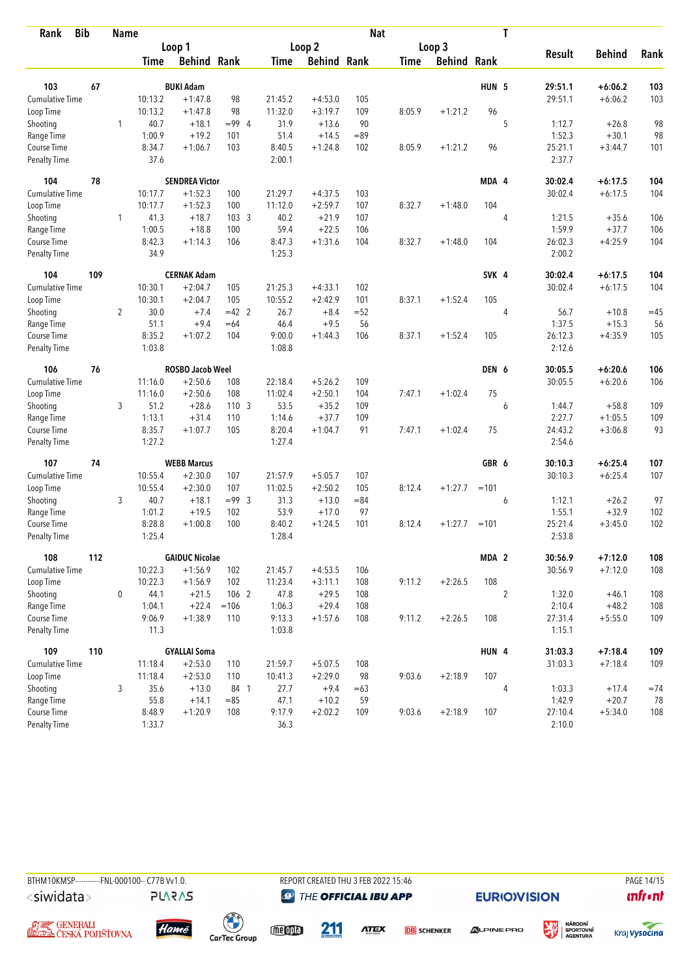| Rank                   | <b>Bib</b> | Name           |             | <b>Nat</b>              |                  |             |                    |        |             |               |                  | T              |               |               |       |
|------------------------|------------|----------------|-------------|-------------------------|------------------|-------------|--------------------|--------|-------------|---------------|------------------|----------------|---------------|---------------|-------|
|                        |            |                | Loop 1      |                         |                  |             | Loop 2             |        |             | Loop 3        |                  |                |               |               |       |
|                        |            |                | <b>Time</b> | <b>Behind Rank</b>      |                  | <b>Time</b> | <b>Behind Rank</b> |        | <b>Time</b> | <b>Behind</b> | Rank             |                | <b>Result</b> | <b>Behind</b> | Rank  |
| 103                    | 67         |                |             | <b>BUKI Adam</b>        |                  |             |                    |        |             |               | HUN <sub>5</sub> |                | 29:51.1       | $+6:06.2$     | 103   |
| <b>Cumulative Time</b> |            |                | 10:13.2     | $+1:47.8$               | 98               | 21:45.2     | $+4:53.0$          | 105    |             |               |                  |                | 29:51.1       | $+6:06.2$     | 103   |
| Loop Time              |            |                | 10:13.2     | $+1:47.8$               | 98               | 11:32.0     | $+3:19.7$          | 109    | 8:05.9      | $+1:21.2$     | 96               |                |               |               |       |
| Shooting               |            | 1              | 40.7        | $+18.1$                 | $= 99.4$         | 31.9        | $+13.6$            | 90     |             |               |                  | 5              | 1:12.7        | $+26.8$       | 98    |
| Range Time             |            |                | 1:00.9      | $+19.2$                 | 101              | 51.4        | $+14.5$            | $=89$  |             |               |                  |                | 1:52.3        | $+30.1$       | 98    |
| Course Time            |            |                | 8:34.7      | $+1:06.7$               | 103              | 8:40.5      | $+1:24.8$          | 102    | 8:05.9      | $+1:21.2$     | 96               |                | 25:21.1       | $+3:44.7$     | 101   |
| Penalty Time           |            |                | 37.6        |                         |                  | 2:00.1      |                    |        |             |               |                  |                | 2:37.7        |               |       |
| 104                    | 78         |                |             | <b>SENDREA Victor</b>   |                  |             |                    |        |             |               | MDA 4            |                | 30:02.4       | $+6:17.5$     | 104   |
| <b>Cumulative Time</b> |            |                | 10:17.7     | $+1:52.3$               | 100              | 21:29.7     | $+4:37.5$          | 103    |             |               |                  |                | 30:02.4       | $+6:17.5$     | 104   |
| Loop Time              |            |                | 10:17.7     | $+1:52.3$               | 100              | 11:12.0     | $+2:59.7$          | 107    | 8:32.7      | $+1:48.0$     | 104              |                |               |               |       |
| Shooting               |            | 1              | 41.3        | $+18.7$                 | 103 <sub>3</sub> | 40.2        | $+21.9$            | 107    |             |               |                  | 4              | 1:21.5        | $+35.6$       | 106   |
| Range Time             |            |                | 1:00.5      | $+18.8$                 | 100              | 59.4        | $+22.5$            | 106    |             |               |                  |                | 1:59.9        | $+37.7$       | 106   |
| Course Time            |            |                | 8:42.3      | $+1:14.3$               | 106              | 8:47.3      | $+1:31.6$          | 104    | 8:32.7      | $+1:48.0$     | 104              |                | 26:02.3       | $+4:25.9$     | 104   |
| Penalty Time           |            |                | 34.9        |                         |                  | 1:25.3      |                    |        |             |               |                  |                | 2:00.2        |               |       |
| 104                    | 109        |                |             | <b>CERNAK Adam</b>      |                  |             |                    |        |             |               | SVK 4            |                | 30:02.4       | $+6:17.5$     | 104   |
| <b>Cumulative Time</b> |            |                | 10:30.1     | $+2:04.7$               | 105              | 21:25.3     | $+4:33.1$          | 102    |             |               |                  |                | 30:02.4       | $+6:17.5$     | 104   |
| Loop Time              |            |                | 10:30.1     | $+2:04.7$               | 105              | 10:55.2     | $+2:42.9$          | 101    | 8:37.1      | $+1:52.4$     | 105              |                |               |               |       |
| Shooting               |            | $\overline{2}$ | 30.0        | $+7.4$                  | $=42$ 2          | 26.7        | $+8.4$             | $= 52$ |             |               |                  | 4              | 56.7          | $+10.8$       | $=45$ |
| Range Time             |            |                | 51.1        | $+9.4$                  | $=64$            | 46.4        | $+9.5$             | 56     |             |               |                  |                | 1:37.5        | $+15.3$       | 56    |
| Course Time            |            |                | 8:35.2      | $+1:07.2$               | 104              | 9:00.0      | $+1:44.3$          | 106    | 8:37.1      | $+1:52.4$     | 105              |                | 26:12.3       | $+4:35.9$     | 105   |
| <b>Penalty Time</b>    |            |                | 1:03.8      |                         |                  | 1:08.8      |                    |        |             |               |                  |                | 2:12.6        |               |       |
| 106                    | 76         |                |             | <b>ROSBO Jacob Weel</b> |                  |             |                    |        |             |               | DEN 6            |                | 30:05.5       | $+6:20.6$     | 106   |
| Cumulative Time        |            |                | 11:16.0     | $+2:50.6$               | 108              | 22:18.4     | $+5:26.2$          | 109    |             |               |                  |                | 30:05.5       | $+6:20.6$     | 106   |
| Loop Time              |            |                | 11:16.0     | $+2:50.6$               | 108              | 11:02.4     | $+2:50.1$          | 104    | 7:47.1      | $+1:02.4$     | 75               |                |               |               |       |
| Shooting               |            | 3              | 51.2        | $+28.6$                 | 110 <sub>3</sub> | 53.5        | $+35.2$            | 109    |             |               |                  | 6              | 1:44.7        | $+58.8$       | 109   |
| Range Time             |            |                | 1:13.1      | $+31.4$                 | 110              | 1:14.6      | $+37.7$            | 109    |             |               |                  |                | 2:27.7        | $+1:05.5$     | 109   |
| Course Time            |            |                | 8:35.7      | $+1:07.7$               | 105              | 8:20.4      | $+1:04.7$          | 91     | 7:47.1      | $+1:02.4$     | 75               |                | 24:43.2       | $+3:06.8$     | 93    |
| <b>Penalty Time</b>    |            |                | 1:27.2      |                         |                  | 1:27.4      |                    |        |             |               |                  |                | 2:54.6        |               |       |
| 107                    | 74         |                |             | <b>WEBB Marcus</b>      |                  |             |                    |        |             |               | GBR 6            |                | 30:10.3       | $+6:25.4$     | 107   |
| Cumulative Time        |            |                | 10:55.4     | $+2:30.0$               | 107              | 21:57.9     | $+5:05.7$          | 107    |             |               |                  |                | 30:10.3       | $+6:25.4$     | 107   |
| Loop Time              |            |                | 10:55.4     | $+2:30.0$               | 107              | 11:02.5     | $+2:50.2$          | 105    | 8:12.4      | $+1:27.7$     | $=101$           |                |               |               |       |
| Shooting               |            | 3              | 40.7        | $+18.1$                 | $= 99$ 3         | 31.3        | $+13.0$            | $= 84$ |             |               |                  | 6              | 1:12.1        | $+26.2$       | 97    |
| Range Time             |            |                | 1:01.2      | $+19.5$                 | 102              | 53.9        | $+17.0$            | 97     |             |               |                  |                | 1:55.1        | $+32.9$       | 102   |
| Course Time            |            |                | 8:28.8      | $+1:00.8$               | 100              | 8:40.2      | $+1:24.5$          | 101    | 8:12.4      | $+1:27.7$     | $=101$           |                | 25:21.4       | $+3:45.0$     | 102   |
| Penalty Time           |            |                | 1:25.4      |                         |                  | 1:28.4      |                    |        |             |               |                  |                | 2:53.8        |               |       |
| 108                    | 112        |                |             | <b>GAIDUC Nicolae</b>   |                  |             |                    |        |             |               | MDA 2            |                | 30:56.9       | $+7:12.0$     | 108   |
| Cumulative Time        |            |                | 10:22.3     | $+1:56.9$               | 102              | 21:45.7     | $+4:53.5$          | 106    |             |               |                  |                | 30:56.9       | $+7:12.0$     | 108   |
| Loop Time              |            |                | 10:22.3     | $+1:56.9$               | 102              | 11:23.4     | $+3:11.1$          | 108    | 9:11.2      | $+2:26.5$     | 108              |                |               |               |       |
| Shooting               |            | 0              | 44.1        | $+21.5$                 | 106 2            | 47.8        | $+29.5$            | 108    |             |               |                  | $\overline{c}$ | 1:32.0        | $+46.1$       | 108   |
| Range Time             |            |                | 1:04.1      | $+22.4$                 | $=106$           | 1:06.3      | $+29.4$            | 108    |             |               |                  |                | 2:10.4        | $+48.2$       | 108   |
| Course Time            |            |                | 9:06.9      | $+1:38.9$               | 110              | 9:13.3      | $+1:57.6$          | 108    | 9:11.2      | $+2:26.5$     | 108              |                | 27:31.4       | $+5:55.0$     | 109   |
| Penalty Time           |            |                | 11.3        |                         |                  | 1:03.8      |                    |        |             |               |                  |                | 1:15.1        |               |       |
| 109                    | 110        |                |             | <b>GYALLAI Soma</b>     |                  |             |                    |        |             |               | HUN 4            |                | 31:03.3       | $+7:18.4$     | 109   |
| <b>Cumulative Time</b> |            |                | 11:18.4     | $+2:53.0$               | 110              | 21:59.7     | $+5:07.5$          | 108    |             |               |                  |                | 31:03.3       | $+7:18.4$     | 109   |
| Loop Time              |            |                | 11:18.4     | $+2:53.0$               | 110              | 10:41.3     | $+2:29.0$          | 98     | 9:03.6      | $+2:18.9$     | 107              |                |               |               |       |
| Shooting               |            | 3              | 35.6        | $+13.0$                 | 84 1             | 27.7        | $+9.4$             | $=63$  |             |               |                  | 4              | 1:03.3        | $+17.4$       | $=74$ |
| Range Time             |            |                | 55.8        | $+14.1$                 | $= 85$           | 47.1        | $+10.2$            | 59     |             |               |                  |                | 1:42.9        | $+20.7$       | 78    |
| Course Time            |            |                | 8:48.9      | $+1:20.9$               | 108              | 9:17.9      | $+2:02.2$          | 109    | 9:03.6      | $+2:18.9$     | 107              |                | 27:10.4       | $+5:34.0$     | 108   |
| Penalty Time           |            |                | 1:33.7      |                         |                  | 36.3        |                    |        |             |               |                  |                | 2:10.0        |               |       |



**@** THE OFFICIAL IBU APP



溪













**ATEX DB** SCHENKER